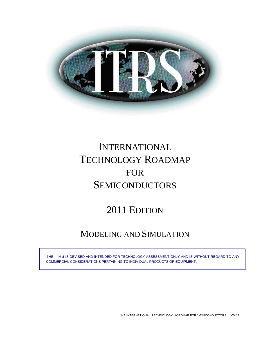

# INTERNATIONAL TECHNOLOGY ROADMAP FOR **SEMICONDUCTORS**

## 2011 EDITION

## MODELING AND SIMULATION

THE ITRS IS DEVISED AND INTENDED FOR TECHNOLOGY ASSESSMENT ONLY AND IS WITHOUT REGARD TO ANY COMMERCIAL CONSIDERATIONS PERTAINING TO INDIVIDUAL PRODUCTS OR EQUIPMENT.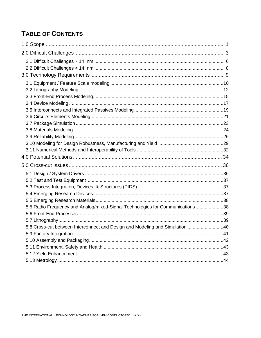### **TABLE OF CONTENTS**

| 5.5 Radio Frequency and Analog/mixed-Signal Technologies for Communications38 |  |
|-------------------------------------------------------------------------------|--|
|                                                                               |  |
|                                                                               |  |
| 5.8 Cross-cut between Interconnect and Design and Modeling and Simulation 40  |  |
|                                                                               |  |
|                                                                               |  |
|                                                                               |  |
|                                                                               |  |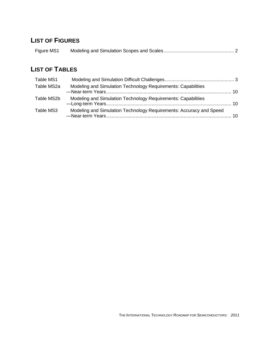### **LIST OF FIGURES**

| Figure MS1 |  |
|------------|--|

### **LIST OF TABLES**

| Table MS1  |                                                                     |    |
|------------|---------------------------------------------------------------------|----|
| Table MS2a | Modeling and Simulation Technology Requirements: Capabilities       |    |
| Table MS2b | Modeling and Simulation Technology Requirements: Capabilities       |    |
| Table MS3  | Modeling and Simulation Technology Requirements: Accuracy and Speed | 10 |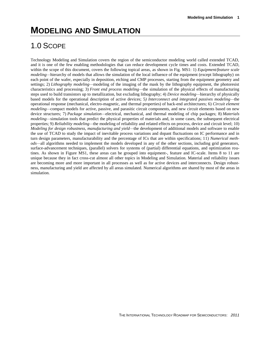# **MODELING AND SIMULATION**

## <span id="page-4-0"></span>1.0 SCOPE

Technology Modeling and Simulation covers the region of the semiconductor modeling world called extended TCAD, and it is one of the few enabling methodologies that can reduce development cycle times and costs. Extended TCAD, within the scope of this document, covers the following topical areas, as shown in Fig. MS1: 1) *Equipment/feature scale modeling—hierarchy of models that allows the simulation of the local influence of the equipment (except lithography) on* each point of the wafer, especially in deposition, etching and CMP processes, starting from the equipment geometry and settings; 2) *Lithography modeling—modeling* of the imaging of the mask by the lithography equipment, the photoresist characteristics and processing; 3) *Front end process modeling—*the simulation of the physical effects of manufacturing steps used to build transistors up to metallization, but excluding lithography; 4) *Device modeling—*hierarchy of physically based models for the operational description of active devices; 5*) Interconnect and integrated passives modeling—*the operational response (mechanical, electro-magnetic, and thermal properties) of back-end architectures; 6) *Circuit element modeling—*compact models for active, passive, and parasitic circuit components, and new circuit elements based on new device structures; 7) *Package simulation—*electrical, mechanical, and thermal modeling of chip packages; 8) *Materials modeling—*simulation tools that predict the physical properties of materials and, in some cases, the subsequent electrical properties; 9) *Reliability modeling—*the modeling of reliability and related effects on process, device and circuit level; 10) *Modeling for design robustness, manufacturing and yield—*the development of additional models and software to enable the use of TCAD to study the impact of inevitable process variations and dopant fluctuations on IC performance and in turn design parameters, manufacturability and the percentage of ICs that are within specifications; 11) *Numerical methods—*all algorithms needed to implement the models developed in any of the other sections, including grid generators, surface-advancement techniques, (parallel) solvers for systems of (partial) differential equations, and optimization routines. As shown in Figure MS1, these areas can be grouped into equipment-, feature and IC-scale. Items 8 to 11 are unique because they in fact cross-cut almost all other topics in Modeling and Simulation. Material and reliability issues are becoming more and more important in all processes as well as for active devices and interconnects. Design robustness, manufacturing and yield are affected by all areas simulated. Numerical algorithms are shared by most of the areas in simulation.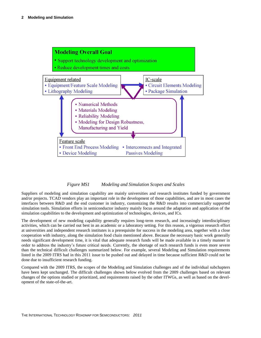

### *Figure MS1 Modeling and Simulation Scopes and Scales*

<span id="page-5-0"></span>Suppliers of modeling and simulation capability are mainly universities and research institutes funded by government and/or projects. TCAD vendors play an important role in the development of those capabilities, and are in most cases the interfaces between R&D and the end customer in industry, customizing the R&D results into commercially supported simulation tools. Simulation efforts in semiconductor industry mainly focus around the adaptation and application of the simulation capabilities to the development and optimization of technologies, devices, and ICs.

The development of new modeling capability generally requires long-term research, and increasingly interdisciplinary activities, which can be carried out best in an academic or a laboratory setting. For this reason, a vigorous research effort at universities and independent research institutes is a prerequisite for success in the modeling area, together with a close cooperation with industry, along the simulation food chain mentioned above. Because the necessary basic work generally needs significant development time, it is vital that adequate research funds will be made available in a timely manner in order to address the industry's future critical needs. Currently, the shortage of such research funds is even more severe than the technical difficult challenges summarized below. For example, several Modeling and Simulation requirements listed in the 2009 ITRS had in this 2011 issue to be pushed out and delayed in time because sufficient R&D could not be done due to insufficient research funding.

Compared with the 2009 ITRS, the scopes of the Modeling and Simulation challenges and of the individual subchapters have been kept unchanged. The difficult challenges shown below evolved from the 2009 challenges based on relevant changes of the options studied or prioritized, and requirements raised by the other ITWGs, as well as based on the development of the state-of-the-art.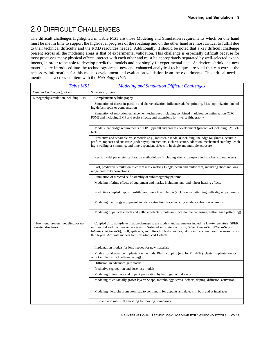## <span id="page-6-0"></span>2.0 DIFFICULT CHALLENGES

The difficult challenges highlighted in Table MS1 are those Modeling and Simulation requirements which on one hand must be met in time to support the high-level progress of the roadmap and on the other hand are most critical to fulfill due to their technical difficulty and the R&D resources needed. Additionally, it should be noted that a key difficult challenge present across all the modeling areas is that of experimental validation. This challenge is especially difficult because for most processes many physical effects interact with each other and must be appropriately separated by well-selected experiments, in order to be able to develop predictive models and not simply fit experimental data. As devices shrink and new materials are introduced into the technology arena, new and enhanced analytical techniques are vital that can extract the necessary information for this model development and evaluation validation from the experiments. This critical need is mentioned as a cross-cut item with the *Metrology ITWG*.

<span id="page-6-1"></span>

| <b>Table MS1</b>                                         | <b>Modeling and Simulation Difficult Challenges</b>                                                                                                                                                                                                                                                                                                                                           |
|----------------------------------------------------------|-----------------------------------------------------------------------------------------------------------------------------------------------------------------------------------------------------------------------------------------------------------------------------------------------------------------------------------------------------------------------------------------------|
| Difficult Challenges $\geq$ 14 nm                        | Summary of Issues                                                                                                                                                                                                                                                                                                                                                                             |
| Lithography simulation including EUV                     | Complementary lithography                                                                                                                                                                                                                                                                                                                                                                     |
|                                                          | Simulation of defect inspection and characterization, influences/defect printing. Mask optimization includ-<br>ing defect repair or compensation                                                                                                                                                                                                                                              |
|                                                          | Simulation of resolution enhancement techniques including combined mask/source optimization (OPC,<br>PSM) and including EMF and resist effects, and extensions for inverse lithography                                                                                                                                                                                                        |
|                                                          | Models that bridge requirements of OPC (speed) and process development (predictive) including EMF ef-<br>fects                                                                                                                                                                                                                                                                                |
|                                                          | Predictive and separable resist models (e.g., mesoscale models) including line-edge roughness, accurate<br>profiles, topcoat and substrate (underlayer) interactions, etch resistance, adhesion, mechanical stability, leach-<br>ing, swelling or slimming, and time-dependent effects in in single and multiple exposure                                                                     |
|                                                          | Resist model parameter calibration methodology (including kinetic transport and stochastic parameters)                                                                                                                                                                                                                                                                                        |
|                                                          | Fast, predictive simulation of ebeam mask making (single-beam and multibeam) including short and long<br>range proximity corrections                                                                                                                                                                                                                                                          |
|                                                          | Simulation of directed self-assembly of sublithography patterns                                                                                                                                                                                                                                                                                                                               |
|                                                          | Modeling lifetime effects of equipment and masks, including lens and mirror heating effects                                                                                                                                                                                                                                                                                                   |
|                                                          | Predictive coupled deposition-lithography-etch simulation (incl. double patterning, self-aligned patterning)                                                                                                                                                                                                                                                                                  |
|                                                          | Modeling metrology equipment and data extraction for enhancing model calibration accuracy                                                                                                                                                                                                                                                                                                     |
|                                                          | Modeling of pellicle effects and pellicle defects simulation (incl. double patterning, self-aligned patterning)                                                                                                                                                                                                                                                                               |
| Front-end process modeling for na-<br>nometer structures | Coupled diffusion/(de)activation/damage/stress models and parameters including low-temperature, SPER,<br>millisecond and microwave processes in Si-based substrate, that is, Si, SiGe, Ge-on-Si, III/V-on-Si (esp.<br>InGaAs-on-Ge-on-Si), SOI, epilayers, and ultra-thin body devices, taking into account possible anisotropy in<br>thin layers. Accurate models for Stress-Induced Defects |
|                                                          | Implantation models for ions needed for new materials                                                                                                                                                                                                                                                                                                                                         |
|                                                          | Models for alternative implantation methods: Plasma doping (e.g. for FinFETs), cluster implantation, cyro<br>or hot implants (incl. self-annealing)                                                                                                                                                                                                                                           |
|                                                          | Diffusion in advanced gate stacks                                                                                                                                                                                                                                                                                                                                                             |
|                                                          | Predictive segregation and dose loss models                                                                                                                                                                                                                                                                                                                                                   |
|                                                          | Modeling of interface and dopant passivation by hydrogen or halogens                                                                                                                                                                                                                                                                                                                          |
|                                                          | Modeling of epitaxially grown layers: Shape, morphology, stress, defects, doping, diffusion, activation                                                                                                                                                                                                                                                                                       |
|                                                          | Modeling hierarchy from atomistic to continuum for dopants and defects in bulk and at interfaces                                                                                                                                                                                                                                                                                              |
|                                                          | Efficient and robust 3D meshing for moving boundaries                                                                                                                                                                                                                                                                                                                                         |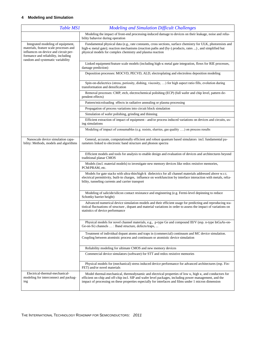| <b>Table MS1</b>                                                                                                                                                                                 | <b>Modeling and Simulation Difficult Challenges</b>                                                                                                                                                                                                                                                                                       |
|--------------------------------------------------------------------------------------------------------------------------------------------------------------------------------------------------|-------------------------------------------------------------------------------------------------------------------------------------------------------------------------------------------------------------------------------------------------------------------------------------------------------------------------------------------|
|                                                                                                                                                                                                  | Modeling the impact of front-end processing-induced damage to devices on their leakage, noise and relia-<br>bility bahavior during operation                                                                                                                                                                                              |
| Integrated modeling of equipment,<br>materials, feature scale processes and<br>influences on device and circuit per-<br>formance and reliability, including<br>random and systematic variability | Fundamental physical data (e.g., rate constants, cross sections, surface chemistry for ULK, photoresists and<br>high-k metal gate); reaction mechanisms (reaction paths and (by-) products, rates ), and simplified but<br>physical models for complex chemistry and plasma reaction                                                      |
|                                                                                                                                                                                                  | Linked equipment/feature scale models (including high- $\kappa$ metal gate integration, flows for RIE processes,<br>damage prediction)                                                                                                                                                                                                    |
|                                                                                                                                                                                                  | Deposition processes: MOCVD, PECVD, ALD, electroplating and electroless deposition modeling                                                                                                                                                                                                                                               |
|                                                                                                                                                                                                  | Spin-on-dielectrics (stress, poriosity, dishing, viscosity, ) for high aspect ratio fills, evolution during<br>transformation and densification                                                                                                                                                                                           |
|                                                                                                                                                                                                  | Removal processes: CMP, etch, electrochemical polishing (ECP) (full wafer and chip level, pattern de-<br>pendent effects)                                                                                                                                                                                                                 |
|                                                                                                                                                                                                  | Pattern/microloading effects in radiative annealing or plasma processing                                                                                                                                                                                                                                                                  |
|                                                                                                                                                                                                  | Propagation of process variations into circuit block simulation                                                                                                                                                                                                                                                                           |
|                                                                                                                                                                                                  | Simulation of wafer polishing, grinding and thinning                                                                                                                                                                                                                                                                                      |
|                                                                                                                                                                                                  | Efficient extraction of impact of equipment - and/or process induced variations on devices and circuits, us-<br>ing simulations                                                                                                                                                                                                           |
|                                                                                                                                                                                                  | Modeling of impact of consumables (e.g. resists, slurries, gas quality ) on process results                                                                                                                                                                                                                                               |
| Nanoscale device simulation capa-<br>bility: Methods, models and algorithms                                                                                                                      | General, accurate, computationally efficient and robust quantum based simulators incl. fundamental pa-<br>rameters linked to electronic band structure and phonon spectra                                                                                                                                                                 |
|                                                                                                                                                                                                  | Efficient models and tools for analysis to enable design and evaluation of devices and architectures beyond<br>traditional planar CMOS                                                                                                                                                                                                    |
|                                                                                                                                                                                                  | Models (incl. material models) to investigate new memory devices like redox resistive memories,<br>PCM/PRAM, etc.                                                                                                                                                                                                                         |
|                                                                                                                                                                                                  | Models for gate stacks with ultra-thin/high-k dielectrics for all channel materials addressed above w.r.t.<br>electrical permittivity, built-in charges, influence on workfunction by interface interaction with metals, relia-<br>bility, tunneling currents and carrier transport                                                       |
|                                                                                                                                                                                                  | Modeling of salicide/silicon contact resistance and engineering (e.g. Fermi-level depinning to reduce<br>Schottky barrier height)                                                                                                                                                                                                         |
|                                                                                                                                                                                                  | Advanced numerical device simulation models and their efficient usage for predicting and reproducing sta-<br>tistical fluctuations of structure, dopant and material variations in order to assess the impact of variations on<br>statistics of device performance                                                                        |
|                                                                                                                                                                                                  | Physical models for novel channel materials, e.g., p-type Ge and compound III/V (esp. n-type InGaAs-on-<br>Ge-on-Si) channels : Band structure, defects/traps,                                                                                                                                                                            |
|                                                                                                                                                                                                  | Treatment of individual dopant atoms and traps in (commercial) continuum and MC device simulation.<br>Coupling between atomistic process and continuum or atomistic device simulation                                                                                                                                                     |
|                                                                                                                                                                                                  | Reliability modeling for ultimate CMOS and new memory devices                                                                                                                                                                                                                                                                             |
|                                                                                                                                                                                                  | Commercial device simulators (software) for STT and redox resistive memories                                                                                                                                                                                                                                                              |
|                                                                                                                                                                                                  | Physical models for (mechanical) stress induced device performance for advanced architectures (esp. Fin-<br>FET) and/or novel materials                                                                                                                                                                                                   |
| Electrical-thermal-mechanical-<br>modeling for interconnect and packag-<br>ing                                                                                                                   | Model thermal-mechanical, thermodynamic and electrical properties of low $\kappa$ , high $\kappa$ , and conductors for<br>efficient on-chip and off-chip incl. SIP and wafer level packages, including power management, and the<br>impact of processing on these properties especially for interfaces and films under 1 micron dimension |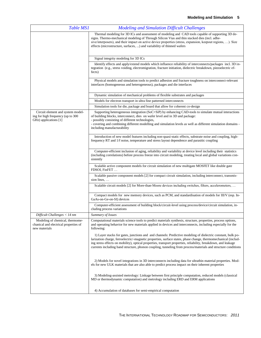| <b>Table MS1</b>                                                                          | <b>Modeling and Simulation Difficult Challenges</b>                                                                                                                                                                                                                                                                                                                                                                                                              |
|-------------------------------------------------------------------------------------------|------------------------------------------------------------------------------------------------------------------------------------------------------------------------------------------------------------------------------------------------------------------------------------------------------------------------------------------------------------------------------------------------------------------------------------------------------------------|
|                                                                                           | Thermal modeling for 3D ICs and assessment of modeling and CAD tools capable of supporting 3D de-<br>signs. Thermo-mechanical modeling of Through Silicon Vias and thin stacked dies (incl. adhe-<br>sive/interposers), and their impact on active device properties (stress, expansion, keepout regions, ). Size<br>effects (microstructure, surfaces, ) and variability of thinned wafers                                                                      |
|                                                                                           | Signal integrity modeling for 3D ICs                                                                                                                                                                                                                                                                                                                                                                                                                             |
|                                                                                           | Identify effects and apply/extend models which influence reliability of interconnects/packages incl. 3D in-<br>tegration (e.g., stress voiding, electromigration, fracture initiation, dielectric breakdown, piezoelectric ef-<br>fects)                                                                                                                                                                                                                         |
|                                                                                           | Physical models and simulation tools to predict adhesion and fracture toughness on interconnect-relevant<br>interfaces (homogeneous and heterogeneous), packages and die interfaces                                                                                                                                                                                                                                                                              |
|                                                                                           | Dynamic simulation of mechanical problems of flexible substrates and packages                                                                                                                                                                                                                                                                                                                                                                                    |
|                                                                                           | Models for electron transport in ultra fine patterned interconnects                                                                                                                                                                                                                                                                                                                                                                                              |
|                                                                                           | Simulation tools for die, package and board that allow for coherent co-design                                                                                                                                                                                                                                                                                                                                                                                    |
| Circuit element and system model-<br>ing for high frequency (up to 300                    | Supporting heterogeneous integration (SoC+SiP) by enhancing CAD-tools to simulate mutual interactions<br>of building blocks, interconnect, dies on wafer level and in 3D and package:                                                                                                                                                                                                                                                                            |
| GHz) applications [1]                                                                     | - possibly consisting of different technologies,<br>- covering and combining different modelling and simulation levels as well as different simulation domains -<br>including manufacturability                                                                                                                                                                                                                                                                  |
|                                                                                           | Introduction of new model features including non-quasi-static effects, substrate noise and coupling, high-<br>frequency RT and 1/f noise, temperature and stress layout dependence and parasitic coupling                                                                                                                                                                                                                                                        |
|                                                                                           | Computer-efficient inclusion of aging, reliability and variability at device level including their statistics<br>(including correlations) before process freeze into circuit modeling, treating local and global variations con-<br>sistently                                                                                                                                                                                                                    |
|                                                                                           | Scalable active component models for circuit simulation of new multigate MOSFET like double gate<br>FDSOI, FinFET                                                                                                                                                                                                                                                                                                                                                |
|                                                                                           | Scalable passive component models [2] for compact circuit simulation, including interconnect, transmis-<br>sion lines,                                                                                                                                                                                                                                                                                                                                           |
|                                                                                           | Scalable circuit models [2] for More-than-Moore devices including switches, filters, accelerometers,                                                                                                                                                                                                                                                                                                                                                             |
|                                                                                           | Compact models for new memory devices, such as PCM, and standardisation of models for III/V (esp. In-<br>GaAs-on-Ge-on-SI) devices                                                                                                                                                                                                                                                                                                                               |
|                                                                                           | Computer-efficient assessment of building block/circuit-level using process/device/circuit simulation, in-<br>cluding process variations                                                                                                                                                                                                                                                                                                                         |
| Difficult Challenges < 14 nm                                                              | Summary of Issues                                                                                                                                                                                                                                                                                                                                                                                                                                                |
| Modeling of chemical, thermome-<br>chanical and electrical properties of<br>new materials | Computational materials science tools to predict materials synthesis, structure, properties, process options,<br>and operating behavior for new materials applied in devices and interconnects, including especially for the<br>following:                                                                                                                                                                                                                       |
|                                                                                           | 1) Layer stacks for gates, junctions and and channels: Predictive modeling of dielectric constant, bulk po-<br>larization charge, ferroelectric/-magnetic properties, surface states, phase change, thermomechanical (includ-<br>ing stress effects on mobility), optical properties, transport properties, reliability, breakdown, and leakage<br>currents including band structure, phonon coupling, tunneling from process/materials and structure conditions |
|                                                                                           | 2) Models for novel integrations in 3D interconnects including data for ultrathin material properties. Mod-<br>els for new ULK materials that are also able to predict process impact on their inherent properties                                                                                                                                                                                                                                               |
|                                                                                           | 3) Modeling-assisted metrology: Linkage between first principle computation, reduced models (classical<br>MD or thermodynamic computation) and metrology including ERD and ERM applications                                                                                                                                                                                                                                                                      |
|                                                                                           | 4) Accumulation of databases for semi-empirical computation                                                                                                                                                                                                                                                                                                                                                                                                      |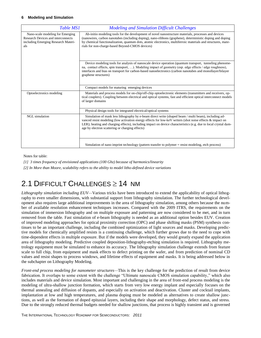| <b>Table MS1</b>                                                                                                            | <b>Modeling and Simulation Difficult Challenges</b>                                                                                                                                                                                                                                                                                                                                     |
|-----------------------------------------------------------------------------------------------------------------------------|-----------------------------------------------------------------------------------------------------------------------------------------------------------------------------------------------------------------------------------------------------------------------------------------------------------------------------------------------------------------------------------------|
| Nano-scale modeling for Emerging<br><b>Research Devices and interconnects</b><br>including Emerging Research Materi-<br>als | Ab-initio modeling tools for the development of novel nanostructure materials, processes and devices<br>(nanowires, carbon nanotubes (including doping), nano-ribbons (graphene), deterministic doping and doping<br>by chemical functionalization, quantum dots, atomic electronics, multiferroic materials and structures, mate-<br>rials for non-charge-based Beyond-CMOS devices)   |
|                                                                                                                             | Device modeling tools for analysis of nanoscale device operation (quantum transport, tunneling phenome-<br>na, contact effects, spin transport, ). Modeling impact of geometry (esp. edge effects / edge roughness),<br>interfaces and bias on transport for carbon-based nanoelectronics (carbon nanotubes and monollayer/bilayer<br>graphene structures)                              |
|                                                                                                                             | Compact models for maturing emerging devices                                                                                                                                                                                                                                                                                                                                            |
| Optoelectronics modeling                                                                                                    | Materials and process models for on-chip/off-chip optoelectronic elements (transmitters and receivers, op-<br>tical couplers). Coupling between electrical and optical systems, fast and efficient optical interconnect models<br>of larger domains                                                                                                                                     |
|                                                                                                                             | Physical design tools for integrated electrical/optical systems                                                                                                                                                                                                                                                                                                                         |
| <b>NGL</b> simulation                                                                                                       | Simulation of mask less lithography by e-beam direct write (shaped beam / multi beam), including ad-<br>vanced resist modeling (low activation energy effects for low-keV writers (shot noise effects & impact on<br>LER); heating and charging effects), including impact on device characteristics (e.g. due to local crystal dam-<br>age by electron scattering or charging effects) |
|                                                                                                                             | Simulation of nano imprint technology (pattern transfer to polymer = resist modeling, etch process)                                                                                                                                                                                                                                                                                     |

Notes for table:

*[1] 3 times frequency of envisioned applications (100 Ghz) because of harmonics/linearity*

*[2] In More than Moore, scalability refers to the ability to model litho-defined device variations*

### <span id="page-9-0"></span>2.1 DIFFICULT CHALLENGES  $\geq$  14 NM

*Lithography simulation including EUV—*Various tricks have been introduced to extend the applicability of optical lithography to even smaller dimensions, with substantial support from lithography simulation. The further technological development also requires large additional improvements in the area of lithography simulation, among others because the number of available resolution enhancement techniques increases. Compared with the 2009 ITRS, the requirements on the simulation of immersion lithography and on multiple exposure and patterning are now considered to be met, and in turn removed from the table. Fast simulation of e-beam lithography is needed as an additional option besides EUV. Creation of improved modeling approaches for optical proximity correction (OPC) and phase shifting masks (PSM) synthesis continues to be an important challenge, including the combined optimization of light sources and masks. Developing predictive models for chemically amplified resists is a continuing challenge, which further grows due to the need to cope with time-dependent effects in multiple exposure. But if the models were developed, they would greatly expand the application area of lithography modeling. Predictive coupled deposition-lithography-etching simulation is required. Lithography metrology equipment must be simulated to enhance its accuracy. The lithography simulation challenge extends from feature scale to full chip, from equipment and mask effects to defect printing on the wafer, and from prediction of nominal CD values and resist shapes to process windows, and lifetime effects of equipment and masks. It is being addressed below in the subchapter on Lithography Modeling.

*Front-end process modeling for nanometer structures—*This is the key challenge for the prediction of result from device fabrication. It overlaps to some extent with the challenge "Ultimate nanoscale CMOS simulation capability," which also includes materials and device simulation. Most important and challenging in the area of front-end process modeling is the modeling of ultra-shallow junction formation, which starts from very low energy implant and especially focuses on the thermal annealing and diffusion of dopants, and especially on activation and deactivation. Cluster and cocktail implants, implantation at low and high temperatures, and plasma doping must be modeled as alternatives to create shallow junctions, as well as the formation of doped epitaxial layers, including their shape and morphology, defect status, and stress. Due to the strongly reduced thermal budgets needed for shallow junctions, that process is highly transient and is governed

THE INTERNATIONAL TECHNOLOGY ROADMAP FOR SEMICONDUCTORS: *2011*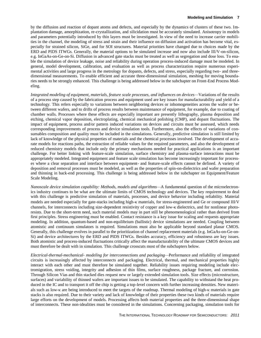by the diffusion and reaction of dopant atoms and defects, and especially by the dynamics of clusters of these two. Implantation damage, amorphization, re-crystallization, and silicidation must be accurately simulated. Anisotropy in models and parameters potentially introduced by thin layers must be investigated. In view of the need to increase carrier mobilities in the channel, the modeling of stress and strain and their influence on diffusion and activation has become vital, especially for strained silicon, SiGe, and for SOI structures. Material priorities have changed due to choices made by the ERD and PIDS ITWGs. Generally, the material options to be simulated increase and now also include III/V-on-silicon, e.g. InGaAs-on-Ge-on-Si. Diffusion in advanced gate stacks must be treated as well as segregation and dose loss. To enable the simulation of device leakage, noise and reliability during operation process-induced damage must be modeled. In general, model development, calibration, and evaluation as well as process characterization require numerous experimental activities and large progress in the metrology for dopants, defects, and stress, especially regarding two- and threedimensional measurements. To enable efficient and accurate three-dimensional simulation, meshing for moving boundaries needs to be strongly enhanced. This challenge is being addressed below in the subchapter on Front-End Process Modeling.

*Integrated modeling of equipment, materials, feature scale processes, and influences on devices—*Variations of the results of a process step caused by the fabrication process and equipment used are key issues for manufacturability and yield of a technology. This refers especially to variations between neighboring devices or inhomogeneities across the wafer or between different wafers, and to drifts of process results between maintenance of equipment, for example, due to coating of chamber walls. Processes where these effects are especially important are presently lithography, plasma deposition and etching, chemical vapor deposition, electroplating, chemical mechanical polishing (CMP), and dopant fluctuations. The impact of equipment, process and/or pattern induced variations on devices and circuits must be assessed, which needs corresponding improvements of process and device simulation tools. Furthermore, also the effects of variations of consumables composition and quality must be included in the simulations. Generally, predictive simulation is still limited by lack of knowledge of the physical properties of materials and the chemical processes involved. The development of accurate models for reactions paths, the extraction of reliable values for the required parameters, and also the development of reduced chemistry models that include only the primary mechanisms needed for practical applications is an important challenge. For better linking with feature-scale simulation, surface chemistry and plasma-surface interactions must be appropriately modeled. Integrated equipment and feature scale simulation has become increasingly important for processes where a clear separation and interface between equipment- and feature-scale effects cannot be defined. A variety of deposition and removal processes must be modeled, as well as the properties of spin-on-dielectrics and wafer preparation and thinning in back-end processing. This challenge is being addressed below in the subchapter on Equipment/Feature Scale Modeling.

*Nanoscale device simulation capability: Methods, models and algorithms—*A fundamental question of the microelectronics industry continues to be what are the ultimate limits of CMOS technology and devices. The key requirement to deal with this challenge is predictive simulation of materials, processes, and device behavior including reliability. Material models are needed especially for gate-stacks including high- $\kappa$  materials, for stress-engineered and Ge or compound III/V channels, for interconnects including size-dependent resistivity of copper and low- $\kappa$  dielectrics, and for nonlinear photoresists. Due to the short-term need, such material models may in part still be phenomenological rather than derived from first principles. Stress engineering must be enabled. Contact resistance is a key issue for scaling and requests appropriate modeling. In addition, quantum-based and non-equilibrium (ballistic) device simulations are needed. Coupling between atomistic and continuum simulators is required. Simulations must also be applicable beyond standard planar CMOS. Generally, this challenge evolves in parallel to the prioritization of channel replacement materials (e.g. InGaAs-on-Ge-on-Si) and device architectures by the ERD and PIDS ITWGs. Besides accuracy, efficiency and robustness are key issues. Both atomistic and process-induced fluctuations critically affect the manufacturability of the ultimate CMOS devices and must therefore be dealt with in simulation. This challenge crosscuts most of the subchapters below.

*Electrical-thermal-mechanical- modeling for interconnections and packaging—*Performance and reliability of integrated circuits is increasingly affected by interconnects and packaging. Electrical, thermal, and mechanical properties highly interact with each other and must therefore be simulated together. Reliability issues requiring modeling include electromigration, stress voiding, integrity and adhesion of thin films, surface roughness, package fracture, and corrosion. Through Silicon Vias and thin stacked dies request new or largely extended simulation tools. Size effects (microstructure, surfaces) and variability of thinned wafers are important issues to be simulated. The capability to withstand the heat produced in the IC and to transport it off the chip is getting a top-level concern with further increasing densities. New materials such as low- $\kappa$  are being introduced to meet the targets of the roadmap. Thermal modeling of high- $\kappa$  materials in gate stacks is also required. Due to their variety and lack of knowledge of their properties these two kinds of materials require large efforts on the development of models. Processing affects both material properties and the three-dimensional shape of interconnects. These non-idealities must be considered in the simulations. Concerning packaging, simulation tools for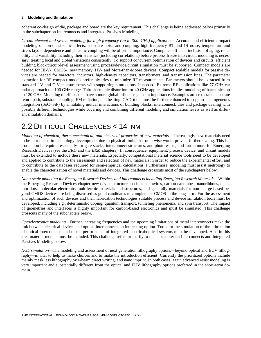coherent co-design of die, package and board are the key requirement. This challenge is being addressed below primarily in the subchapter on Interconnects and Integrated Passives Modeling.

*Circuit element and system modeling for high frequency (up to 300 GHz) applications—*Accurate and efficient compact modeling of non-quasi-static effects, substrate noise and coupling, high-frequency RT and 1/f noise, temperature and stress layout dependence and parasitic coupling will be of prime importance. Computer-efficient inclusion of aging, reliability and variability including their statistics (including correlations) before process freeze into circuit modeling is necessary, treating local and global variations consistently. To support concurrent optimization of devices and circuits, efficient building block/circuit-level assessment using process/device/circuit simulation must be supported. Compact models are needed for III-V-, CMOS-, new memory, HV- and More-than-Moore devices. Compact scalable models for passive devices are needed for varactors, inductors, high-density capacitors, transformers, and transmission lines. The parameter extraction for RF compact models preferably tries to minimize RF measurements. Parameters should be extracted from standard I-V and C-V measurements with supporting simulations, if needed. Extreme RF applications like 77 GHz car radar approach the 100 GHz range. Third harmonic distortion for 40 GHz applications implies modeling of harmonics up to 120 GHz. Modeling of effects that have a more global influence gains in importance. Examples are cross talk, substrate return path, substrate coupling, EM radiation, and heating. CAD-tools must be further enhanced to support heterogeneous integration (SoC+SiP) by simulating mutual interactions of building blocks, interconnect, dies and package dealing with possibly different technologies while covering and combining different modeling and simulation levels as well as different simulation domains.

### <span id="page-11-0"></span>2.2 DIFFICULT CHALLENGES < 14 NM

*Modeling of chemical, thermomechanical, and electrical properties of new materials—* Increasingly new materials need to be introduced in technology development due to physical limits that otherwise would prevent further scaling. This introduction is required especially for gate stacks, interconnect structures, and photoresists, and furthermore for Emerging Research Devices (see the *ERD* and the *ERM* chapters). In consequence, equipment, process, device, and circuit models must be extended to include these new materials. Especially, computational material science tools need to be developed and applied to contribute to the assessment and selection of new materials in order to reduce the experimental effort, and to contribute to the databases required for semi-empirical calculations. Furthermore, modeling must assist metrology to enable the characterization of novel materials and devices. This challenge crosscuts most of the subchapters below.

*Nano-scale modeling for Emerging Research Devices and interconnects including Emerging Research Materials—*Within the Emerging Research Devices chapter new device structures such as nanowires, carbon nanotubes, nanoribbons, quantum dots, molecular electronic, multiferroic materials and structures, and generally materials for non-charge-based beyond-CMOS devices are being discussed as good candidates to complement CMOS in the long-term. For the assessment and optimization of such devices and their fabrication technologies suitable process and device simulation tools must be developed, including e.g., deterministic doping, quantum transport, tunneling phenomena, and spin transport. The impact of geometries and interfaces is highly important for carbon-based electronics and must be simulated. This challenge crosscuts many of the subchapters below.

*Optoelectronics modeling—*Further increasing frequencies and the upcoming limitations of metal interconnects make the link between electrical devices and optical interconnects an interesting option. Tools for the simulation of the fabrication of optical interconnects and of the performance of integrated electrical/optical systems must be developed. Also in this area material models must be included. This challenge refers primarily to the subchapter on Interconnects and Integrated Passives Modeling below.

*NGL simulation—*The modeling and assessment of next generation lithography options*—*beyond optical and EUV lithography*—*is vital to help to make choices and to make the introduction efficient. Currently the prioritized options include mainly mask less lithography by e-beam direct writing, and nano imprint. In both cases, again advanced resist modeling is very important and substantially different from the optical and EUV lithography options preferred in the short-term domain.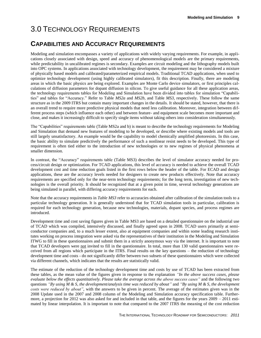## <span id="page-12-0"></span>3.0 TECHNOLOGY REQUIREMENTS

### **CAPABILITIES AND ACCURACY REQUIREMENTS**

Modeling and simulation encompasses a variety of applications with widely varying requirements. For example, in applications closely associated with design, speed and accuracy of phenomenological models are the primary requirements, while predictability in uncalibrated regimes is secondary. Examples are circuit modeling and the lithography models built into OPC systems. In applications associated with technology development, the requirement may be considered a mixture of physically based models and calibrated/parameterized empirical models. Traditional TCAD applications, when used to optimize technology development (using highly calibrated simulators), fit this description. Finally, there are modeling areas in which the basic physics are being explored. Examples are Monte Carlo device simulators, or first principles calculations of diffusion parameters for dopant diffusion in silicon. To give useful guidance for all these application areas, the technology requirements tables for Modeling and Simulation have been divided into tables for simulation "Capabilities" and tables for "Accuracy." Refer to Table *MS2a* and *MS2b*, and Table *MS3*, respectively. These follow the same structure as in the 2009 ITRS but contain many important changes in the details. It should be stated, however, that there is an overall trend to require more predictive physical models that need less calibration. Moreover, integration between different process steps (which influence each other) and between feature- and equipment scale becomes more important and close, and makes it increasingly difficult to specify single items without taking others into consideration simultaneously.

The "Capabilities" requirements table (Table MS2a and b) is meant to describe the technology requirements for Modeling and Simulation that demand new features of modeling to be developed, or describe where existing models and tools are still largely unsatisfactory. An example would be the capability to model chemically amplified photoresists. In this case, the basic ability to simulate predictively the performance of such a nonlinear resist needs to be developed. This type of requirement is often tied either to the introduction of new technologies or to new regimes of physical phenomena at smaller dimension.

In contrast, the "Accuracy" requirements table (Table MS3) describes the level of simulator accuracy needed for process/circuit design or optimization. For TCAD applications, this level of accuracy is needed to achieve the overall TCAD development cost and time reduction goals listed in the first rows below the header of the table. For ECAD and design applications, these are the accuracy levels needed for designers to create new products effectively. Note that accuracy requirements are specified only for the near-term technology requirements; for the long term, investigation of new technologies is the overall priority. It should be recognized that at a given point in time, several technology generations are being simulated in parallel, with differing accuracy requirements for each.

Note that the accuracy requirements in *Table MS3* refer to accuracies obtained after calibration of the simulation tools to a particular technology generation. It is generally understood that for TCAD simulation tools in particular, calibration is required for each technology generation, because new technologies, materials, dopant species, and process regimes are introduced.

Development time and cost saving figures given in Table MS3 are based on a detailed questionnaire on the industrial use of TCAD which was compiled, intensively discussed, and finally agreed upon in 2008. TCAD users primarily at semiconductor companies and, to a much lesser extent, also at equipment companies and within some leading research institutes working on process integration were asked via the representatives of their institution in the Modeling and Simulation ITWG to fill in these questionnaires and submit them in a strictly anonymous way via the internet. It is important to note that TCAD developers were not invited to fill in the questionnaire. In total, more than 130 valid questionnaires were received from all regions which participate in the ITRS. Final results on the key questions – the reduction of technology development time and costs - do not significantly differ between two subsets of these questionnaires which were collected via different channels, which indicates that the results are statistically valid.

The estimate of the reduction of the technology development time and costs by use of TCAD has been extracted from these tables, as the mean value of the figures given in response to the explanation *"In the above success cases, please evaluate below the effects quantitatively. Please take the average across the above success cases"* and the following two questions *"By using M & S, the development/analysis time was reduced by about"* and *"By using M & S, the development costs were reduced by about"*, with the answers to be given in percent. The average of the estimates given was in the 2008 Update used in the 2007 and 2008 column of the Modeling and Simulation accuracy specification table. Furthermore, a projection for 2012 was also asked for and included in that table, and the figures for the years  $2009 - 2011$  estimated by linear interpolation. It is important to note that compared to the 2007 ITRS the meaning of the cost reduction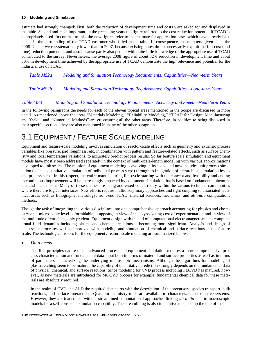estimate had strongly changed: First, both the reduction of development time and costs were asked for and displayed in the table. Second and most important, in the preceding years the figure referred to the cost reduction potential if TCAD is appropriately used. In contrast to this, the new figures refer to the estimate for application cases which have already happened in the surrounding of the TCAD customer who filled in the table. In consequence, the numbers given since the 2008 Update were systematically lower than in 2007, because existing cases do not necessarily exploit the full cost (and time) reduction potential, and also because partly also people with quite little knowledge of the appropriate use of TCAD contributed to the survey. Nevertheless, the average 2008 figure of about 32% reduction in development time and about 30% in development time achieved by the appropriate use of TCAD demonstrate the high relevance and potential for the industrial use of TCAD.

<span id="page-13-1"></span>*Table MS2a Modeling and Simulation Technology Requirements: Capabilities—Near-term Years*

<span id="page-13-2"></span>*Table MS2b Modeling and Simulation Technology Requirements: Capabilities—Long-term Years*

#### <span id="page-13-3"></span>*Table MS3 Modeling and Simulation Technology Requirements: Accuracy and Speed—Near-term Years*

In the following paragraphs the needs for each of the eleven topical areas mentioned in the Scope are discussed in more detail. As mentioned above the areas "Materials Modeling," "Reliability Modeling," "TCAD for Design, Manufacturing and Yield," and "Numerical Methods" are crosscutting all the other areas. Therefore, in addition to being discussed in their specific sections, they are also mentioned in many of the other paragraphs.

### <span id="page-13-0"></span>3.1 EQUIPMENT / FEATURE SCALE MODELING

Equipment and feature-scale modeling involves simulation of reactor-scale effects such as geometry and extrinsic process variables like pressure, pad roughness, etc. in combination with pattern and feature-related effects, such as surface chemistry and local temperature variations, to accurately predict process results. So far feature scale simulation and equipment models have mostly been addressed separately in the context of multi-scale-length modeling with various approximations developed to link scales. The mission of equipment modeling is evolving in its scope and now includes unit process simulation (such as quantitative simulation of individual process steps) through to integration of hierarchical simulation levels and process steps. In this respect, the entire manufacturing life-cycle starting with the concept and feasibility and ending in continuous improvement will be increasingly impacted by equipment simulation that is based on fundamental phenomena and mechanisms. Many of these themes are being addressed concurrently within the various technical communities where there are logical interfaces. New efforts require multidisciplinary approaches and tight coupling to associated technical areas such as lithography, metrology, front-end TCAD, material sciences, mechanics, and *ab initio* computations methods.

Though the task of integrating the various disciplines into one comprehensive approach accounting for physics and chemistry on a microscopic level is formidable, it appears, in view of the skyrocketing cost of experimentation and in view of the multitude of variables, only prudent. Equipment design with the aid of computational electromagnetism and computational fluid dynamics including plasma and chemical reactions is becoming more significant. Analysis and design of nano-scale processes will be improved with modeling and simulation of chemical and surface reactions at the feature scale. The technological issues for the equipment / feature scale modeling are summarized below.

#### *Data needs*

The first-principles nature of the advanced process and equipment simulation requires a more comprehensive process characterization and fundamental data input both in terms of material and surface properties as well as in terms of parameters characterizing the underlying microscopic mechanisms. Although the algorithms for modeling of plasma etching seem to be mature, the capability of quantitative prediction strongly depends on the fundamental data of physical, chemical, and surface reactions. Since modeling for CVD process including PECVD has matured, however, as new materials are introduced for MOCVD process for example, fundamental chemical data for these materials are absolutely required.

In the realm of CVD and ALD the required data starts with the description of the precursors, species transport, bulk reactions, and surface interactions. Quantum chemistry tools are available to characterize most reactive systems. However, they are inadequate without streamlined computational approaches linking *ab initio* data to macroscopic models for a self-consistent simulation capability. The streamlining is also imperative to speed up the rate of mecha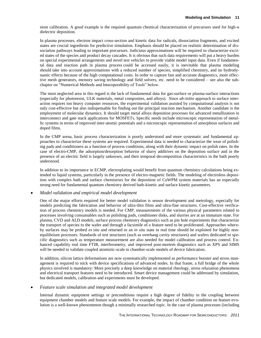nism calibration. A good example is the required quantum chemical characterization of precursors used for high-κ dielectric deposition.

In plasma processes, electron impact cross-section and kinetic data for radicals, dissociation fragments, and excited states are crucial ingredients for predictive simulation. Emphasis should be placed on realistic determination of dissociation pathways leading to important precursors. Judicious approximations will be required to characterize excited states of the species and product decay cascades. It is obvious that such data requirements will put a heavy burden on special experimental arrangements and novel test vehicles to provide viable model input data. Even if fundamental data and reaction path in plasma process could be accessed easily, it is inevitable that plasma modeling should take into account approximations with a reduced number of species, simplified chemistry, and no hydrodynamic effects because of the high computational costs. In order to capture fast and accurate diagnostics, more effective mesh generators, memory saving technology and field solvers, etc. need to be considered – see also the subchapter on "Numerical Methods and Interoperability of Tools" below.

The most neglected area in this regard is the lack of fundamental data for gas-surface or plasma-surface interactions (especially for photoresist, ULK materials, metal composites, and alloys). Since *ab-initio* approach to surface interaction requires too heavy computer resources, the experimental validation assisted by computational analysis is not only cost-effective but also indispensable for finding out the principal reaction mechanism. Another candidate is the employment of molecular dynamics. It should target metal alloys deposition processes for advanced metallization in interconnect and gate stack applications for MOSFETs. Specific needs include microscopic representation of metallic systems in terms of improved inter-atomic potentials and a microscopic representation of amorphous surfaces and doped films.

In the CMP arena, basic process characterization is poorly understood and more systematic and fundamental approaches to characterize these systems are required. Experimental data is needed to characterize the wear of polishing pads and conditioners as a function of process conditions, along with their dynamic impact on polish rates. In the case of electro-CMP, the adsorption/desorption behavior of slurry additives on the deposition surface and in the presence of an electric field is largely unknown, and their temporal decomposition characteristics in the bath poorly understood.

In addition to its importance in ECMP, electroplating would benefit from quantum chemistry calculations being extended to liquid systems, particularly in the presence of electro-magnetic fields. The modeling of electroless deposition with complex bath and surface chemistries for the deposition of CoWPM system materials has an especially strong need for fundamental quantum chemistry derived bath-kinetic and surface kinetic parameters.

#### *Model validation and empirical model development*

One of the major efforts required for better model validation is sensor development and metrology, especially for models predicting the fabrication and behavior of ultra-thin films and ultra-fine structures. Cost-effective verification of process chemistry models is needed. For CMP, measurements of the various physical parameters related to processes involving consumables such as polishing pads, conditioner disks, and slurries are at an immature state. For plasma, CVD and ALD models, surface process chemistry diagnostics such as pin hole experiments that characterize the transport of species to the wafer and through a facsimile of a feature need to be proliferated. Approaches whereby surfaces may be probed *ex situ* and returned to an *in situ* state in real time should be exploited for highly nonequilibrium processes. Standards of test structures (such as overhang cavity structures) and wafers dedicated to specific diagnostics such as temperature measurement are also needed for model calibration and process control. Enhanced capability real time FTIR, interferometry, and improved post-mortem diagnostics such as XPS and SIMS will be needed to validate coupled atomistic-scale to chamber-scale models of device fabrication.

In addition, silicon lattice deformations are now systematically implemented as performance booster and stress management is required to stick with device specifications of advanced nodes. In that frame, a full bridge of the whole physics involved is mandatory: More precisely a deep knowledge on material rheology, stress relaxation phenomena and electrical transport features need to be introduced. Smart device management could be addressed by simulation, but dedicated models, calibration and experiments must be developed.

#### *Feature scale simulation and integrated model development*

Internal dynamic equipment settings or preconditions require a high degree of fidelity in the coupling between equipment chamber models and feature scale models. For example, the impact of chamber condition on feature evolution is a well-known phenomenon though a minimally researched topic. In the case of plasma processes (including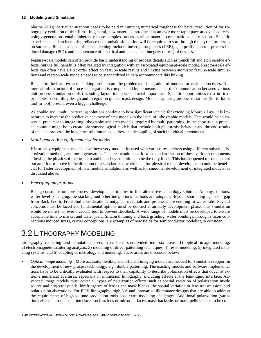plasma ALD), particular attention needs to be paid minimizing numerical roughness for better resolution of the topography evolution of thin films. In general, new materials introduced at an ever more rapid pace at advanced technology generations entails inherently more complex process-surface material combinations and reactions. Specific experiments and an increasing reliance on atomistic simulation will be required to sort through the myriad processes on surfaces. Related aspects of plasma etching include line edge roughness (LER), gate profile control, process induced damage (PID), and maintenance of electrical and mechanical integrity (stress) of devices.

Feature-scale models can often provide basic understanding of process details such as trench fill and etch residue effects, but the full benefit is often realized by integration with an associated equipment-scale model. Reactor-scale effects can often have a first order effect on feature-scale results and linking between atomistic feature-scale simulations and reactor-scale models needs to be standardized to help accommodate this linking.

Related to the feature/reactor linking problem are the problems of integration of models for various processes. Numerical infrastructure of process integration is complex and by no means standard. Communication between various unit process simulation tools (including layout tools) is of crucial importance. Specific opportunities exist in firstprinciples based tiling design and integration guided mask design. Models capturing process variations (lot-to-lot or tool-to-tool) present even a bigger challenge.

As double and "multi" patterning solutions continue to be a significant vehicle for extending Moore's Law, it is imperative to increase the predictive accuracy of etch models to the level of lithographic models. That would be an essential precursor to integrating lithography and etch models, required by multi-patterning. In the short-run, a practical solution might be to create phenomenological models that include both photoresist behavior and the end-results of the etch process; the long term solution must address the decoupling of such individual phenomena.

### *Multi-generation equipment / wafer model*

Historically equipment models have been very module focused with various researchers using different solvers, discretization methods, and mesh generators. The area would benefit from standardization of these various components allowing the physics of the problem and boundary conditions to be the only focus. This has happened to some extent but an effort to move in the direction of a standardized workbench for physical model development could be beneficial for faster development of new module simulations as well as for smoother development of integrated models, as discussed above.

#### *Emerging integrations*

Rising constrains on core process developments implies to find alternative technology solution. Amongst options, wafer level packaging, die stacking and other integrations methods are adopted: Beyond shortening again the gap from Back-End to Front-End considerations, untypical materials and processes are entering in wafer fabs. Several concerns must be faced and fundamental options must be defined at an early development phase, thus simulation would be more than ever a crucial tool to prevent deadlock. A wide range of models must be developed to ensure acceptable time to market and wafer yield. Silicon thinning and back grinding, wafer bondings, through silicon connections induced stress, carrier conceptions, are examples of new fields for semiconductor modeling to consider.

### <span id="page-15-0"></span>3.2 LITHOGRAPHY MODELING

Lithography modeling and simulation needs have been sub-divided into six areas: 1) optical image modeling, 2) electromagnetic scattering analysis, 3) modeling of direct patterning techniques, 4) resist modeling, 5) integrated modeling systems, and 6) coupling of metrology and modeling. These areas are discussed below.

 *Optical image modeling—*More accurate, flexible, and efficient imaging models are needed for simulation support in the development of new process technology, e.g., double patterning. The existing models and software implementations have to be critically evaluated with respect to their capability to describe polarization effects that occur at extreme numerical apertures, especially in immersion lithography, including effects at the lens-liquid interface. Advanced image models must cover all types of polarization effects such as spatial variation of polarization inside source and projector pupils, birefringence of lenses and mask blanks, the spatial variation of lens transmission, and polarization aberrations. For EUV lithography, high NA and innovative illuminator designs that are able to address the requirements of high volume production tools pose extra modeling challenges. Additional polarization (variation) effects introduced at interfaces such as lens or mirror surfaces, mask backside, or mask pellicle need to be con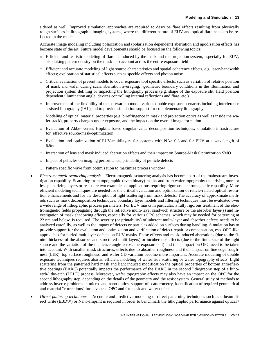sidered as well. Improved simulation approaches are required to describe flare effects resulting from physically rough surfaces in lithographic imaging systems, where the different nature of EUV and optical flare needs to be reflected in the model.

Accurate image modeling including polarization and (polarization dependent) aberration and apodization effects has become state of the art. Future model developments should be focused on the following topics:

- o Efficient and realistic modeling of flare as induced by the mask and the projection system, especially for EUV, also taking pattern density on the mask into account across the entire exposure field
- o Efficient and accurate modeling of light source characteristics and spatial coherence effects, e.g. laser-bandwidth effects; exploration of statistical effects such as speckle effects and photon noise
- o Critical evaluation of present models to cover exposure tool specific effects, such as variation of relative position of mask and wafer during scan, aberration averaging, geometric boundary conditions in the illumination and projection system defining or impacting the lithography process (e.g. shape of the exposure slit, field position dependent illumination angle, devices controlling internal reflections and flare, etc.)
- o Improvement of the flexibility of the software to model various double exposure scenarios including interference assisted lithography (IAL) and to provide simulation support for complementary lithography
- o Modeling of optical material properties (e.g. birefringence in mask and projection optics as well as inside the wafer stack), property changes under exposure, and the impact on the overall image formation
- o Evaluation of Abbe- versus Hopkins based singular value decomposition techniques, simulation infrastructure for effective source-mask-optimization
- o Evaluation and optimization of EUV-multilayers for systems with NA> 0.3 and for EUV at a wavelength of 6.5nm
- o Interaction of lens and mask induced aberration effects and their impact on Source-Mask Optimization SMO
- o Impact of pellicles on imaging performance; printability of pellicle defects
- o Pattern specific wave front optimization to maximize process window
- *Electromagnetic scattering analysis—*Electromagnetic scattering analysis has become part of the mainstream investigation capability. Scattering from topographic (even binary) masks and from wafer topography underlying more or less planarizing layers or resist are two examples of applications requiring rigorous electromagnetic capability. More efficient modeling techniques are needed for the critical evaluation and optimization of reticle-related optical resolution enhancements and for the description of light scattering from mask defects. The accuracy of approximate methods such as mask decomposition techniques, boundary layer models and filtering techniques must be evaluated over a wide range of lithographic process parameters. For EUV masks in particular, a fully rigorous treatment of the electromagnetic fields propagating through the reflective multi-layer sandwich structure or the absorber layer(s) and investigation of mask shadowing effects, especially for various OPC schemes, which may be needed for patterning at 22 nm and below, is required. The severity (or printability) of inherent multi-layer and absorber defects needs to be analyzed carefully, as well as the impact of defects or particles added on surfaces during handling. Simulation has to provide support for the evaluation and optimization and verification of defect repair or compensation, esp. OPC-like approaches for buried multilayer defects on EUV masks. Phase effects and mask induced aberrations (due to the finite thickness of the absorber and structured multi-layers) or incoherence effects (due to the finite size of the light source and the variation of the incidence angle across the exposure slit) and their impact on OPC need to be taken into account. With smaller mask structures, effects due to absorber roughness and their impact on line edge roughness (LER), top surface roughness, and wafer CD variation become more important. Accurate modeling of double exposure techniques requires also an efficient modeling of wafer side scattering or wafer topography effects. Light scattering from the patterned hard mask and light induced modification the optical properties of bottom antireflective coatings (BARC) potentially impacts the performance of the BARC in the second lithography step of a lithoetch-litho-etch (LELE) process. Moreover, wafer topography effects may also have an impact on the OPC for the second lithography step, depending on the details of the geometry and the resist system. General study of methods to address inverse problems in micro- and nano-optics: support of scatterometry, identification of required geometrical and material "corrections" for advanced OPC and for mask and wafer defects.
- *Direct pattering techniques* Accurate and predictive modeling of direct patterning techniques such as e-beam direct write (EBDW) or Nano-Imprint is required in order to benchmark the lithographic performance against optical /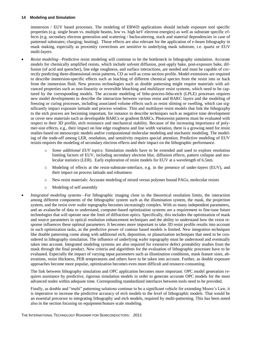immersion / EUV based processes. The modeling of EBWD applications should include exposure tool specific properties (e.g. single beam vs. multiple beams, low vs. high keV electron energies) as well as substrate specific effects (e.g. secondary electron generation and scattering / backscattering, stack and material dependencies in case of patterned substrates; charging; heating). Those effects are also relevant for the application of e-beam lithography in mask making, especially as proximity corrections are sensitive to underlying mask substrate, i.e. quartz or EUV multi-layers.

- *Resist modeling—*Predictive resist modeling will continue to be the bottleneck in lithography simulation. Accurate models for chemically amplified resists, which include solvent diffusion, post-apply bake, post-exposure bake, diffusion (of acid and quencher), line edge roughness, and surface interactions, are needed and must be capable of correctly predicting three-dimensional resist patterns, CD as well as cross section profile. Model extensions are required to describe immersion-specific effects such as leaching of different chemical species from the resist into or back from the immersion fluid. New process technologies such as double patterning might require materials with advanced properties such as non-linearity or reversible bleaching and multilayer resist systems, which need to be captured by the corresponding models. The accurate modeling of litho-process-litho-etch (LPLE) processes requires new model developments to describe the interaction between various resist and BARC layers and the modeling of freezing or curing processes, including associated volume effects such as resist sliming or swelling, which can significantly impact exposure latitude and process window. Thin and multilayer resist models that link the lithography to the etch process are becoming important, for instance to describe techniques such as negative tone development or cover new materials such as developable BARCs or gradient BARCs. Photoresist patterns must be evaluated with respect to their 3D profile, etch resistance and mechanical stability. Because of the increasing importance of polymer-size effects, e.g., their impact on line edge roughness and line width variation, there is a growing need for resist studies based on mesoscopic models and/or computational molecular modeling and stochastic modeling. The modeling of the trade-off among LER, resolution, and sensitivity requires special attention. Predictive modeling of EUV resists requires the modeling of secondary electron effects and their impact on the lithographic performance.
	- o *Some additional EUV topics:* Simulation models have to be extended and used to explore resolution limiting factors of EUV, including secondary electron blur, diffusion effects, pattern collapse and molecular statistics (LER). Early exploration of resist models for EUV at a wavelength of 6.5nm.
	- Modeling of effects at the resist-substrate-interface, e.g. in the presence of under-layers (EUV), and their impact on process latitude and robustness
	- o New resist materials: Accurate modeling of mixed versus polymer bound PAGs, molecular resists
	- o Modeling of self assembly
- *Integrated modeling systems—*For lithographic imaging close to the theoretical resolution limits, the interaction among different components of the lithographic system such as the illumination system, the mask, the projection system, and the resist over wafer topography becomes increasingly complex. With so many independent parameters, and an avalanche of data to understand, computer-based optimization systems are a requirement to fine-tune future technologies that will operate near the limit of diffraction optics. Specifically, this includes the optimization of mask and source parameters in optical resolution enhancement techniques and the ability to understand how the resist response influences these optimal parameters. It becomes more important to take 3D resist profile results into account in such optimization tasks, as the predictive power of contour based models is limited. New integration techniques like double patterning come along with additional etch, deposition, or planarization techniques that need to be considered in lithography simulation. The influence of underlying wafer topography must be understood and eventually taken into account. Integrated modeling systems are also required for extensive defect printability studies from the mask through the final product. New criteria and algorithms for the evaluation of lithographic processes have to be evaluated. Especially the impact of varying input parameters such as illumination conditions, mask feature sizes, aberrations, resist thickness, PEB temperatures and others have to be taken into account. Further, as double exposure approaches become more popular, optimization becomes even more difficult and resource-consuming.

The link between lithography simulation and OPC application becomes more important: OPC model generation requires assistance by predictive, rigorous simulation models in order to generate accurate OPC models for the most advanced nodes within adequate time. Corresponding standardized interfaces between tools need to be provided.

Finally, as double and "multi" patterning solutions continue to be a significant vehicle for extending Moore's Law, it is imperative to increase the predictive accuracy of etch models to the level of lithographic models. That would be an essential precursor to integrating lithography and etch models, required by multi-patterning. This has been noted also in the section focusing on equipment/feature scale modeling.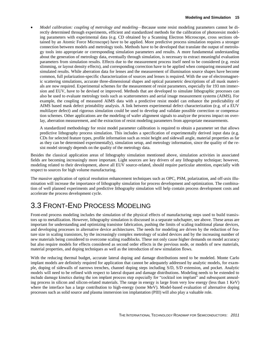*Model calibration: coupling of metrology and modeling—*Because some resist modeling parameters cannot be directly determined through experiments, efficient and standardized methods for the calibration of photoresist modeling parameters with experimental data (e.g. CD obtained by a Scanning Electron Microscope, cross sections obtained by an Atomic Force Microscope) have to be applied. More predictive process simulation requires a stronger connection between models and metrology tools. Methods have to be developed that translate the output of metrology tools into appropriate or corresponding simulation parameters and results. A more fundamental understanding about the generation of metrology data, eventually through simulation, is necessary to extract meaningful evaluation parameters from simulation results. Effects due to the measurement process itself need to be considered (e.g. resist slimming, or layout density effects), and corresponding correction have to be applied when comparing measured and simulated results. While aberration data for lenses and the measurement of illumination source shapes have become common, full polarization-specific characterization of sources and lenses is required. With the use of electromagnetic scattering simulations, accurate three-dimensional shapes and optical parametric descriptions of all mask materials are now required. Experimental schemes for the measurement of resist parameters, especially for 193 nm immersion and EUV, have to be devised or improved. Methods that are developed to simulate lithographic processes can also be used to evaluate metrology tools such as scatterometers and aerial image measurement systems (AIMS). For example, the coupling of measured AIMS data with a predictive resist model can enhance the predictability of AIMS based mask defect printability analysis. A link between experimental defect characterization (e.g. of a EUV multilayer defect) and rigorous simulation could be used to develop and validate possible correction or compensation schemes. Other applications are the modeling of wafer alignment signals to analyze the process impact on overlay, aberration measurement, and the extraction of resist modeling parameters from appropriate measurements.

A standardized methodology for resist model parameter calibration is required to obtain a parameter set that allows predictive lithography process simulation. This includes a specification of experimentally derived input data (e.g. CDs for selected feature types, profile information such as resist height and sidewall angle, material properties as far as they can be determined experimentally), simulation setup, and metrology information, since the quality of the resist model strongly depends on the quality of the metrology data.

Besides the classical application areas of lithography simulation mentioned above, simulation activities in associated fields are becoming increasingly more important. Light sources are key drivers of any lithography technique; however, modeling related to their development, above all EUV source-related, should require particular attention, especially with respect to sources for high volume manufacturing.

The massive application of optical resolution enhancement techniques such as OPC, PSM, polarization, and off-axis illumination will increase the importance of lithography simulation for process development and optimization. The combination of well planned experiments and predictive lithography simulation will help contain process development costs and accelerate the process development cycle.

### <span id="page-18-0"></span>3.3 FRONT-END PROCESS MODELING

Front-end process modeling includes the simulation of the physical effects of manufacturing steps used to build transistors up to metallization. However, lithography simulation is discussed in a separate subchapter, see above. These areas are important for understanding and optimizing transistor fabrication, pushing the limits of scaling traditional planar devices, and developing processes in alternative device architectures. The needs for modeling are driven by the reduction of feature size in scaling transistors, by the increasingly complex metrology of scaled devices and by the increasing number of new materials being considered to overcome scaling roadblocks. These not only cause higher demands on model accuracy but also require models for effects considered as second order effects in the previous node, or models of new materials, material properties, and doping techniques as well as the introduction of new simulation flows.

With the reducing thermal budget, accurate lateral doping and damage distributions need to be modeled. Monte Carlo implant models are definitely required for application that cannot be adequately addressed by analytic models, for example, doping of sidewalls of narrows trenches, channel doping steps including S/D, S/D extension, and pocket. Analytic models will need to be refined with respect to lateral dopant and damage distributions. Modeling needs to be extended to include damage kinetics during the ion implant process step especially for "cocktail ion implant" and subsequent annealing process in silicon and silicon-related materials. The range in energy is large from very low energy (less than 1 KeV) where the interface has a large contribution to high-energy (some MeV). Model-based evaluation of alternative doping processes such as solid source and plasma immersion ion implantation (PIII) will also play a valuable role.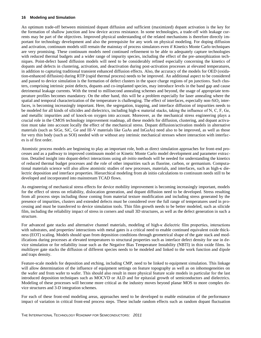An optimum trade-off between minimized dopant diffusion and sufficient (maximized) dopant activation is the key for the formation of shallow junction and low device access resistance. In some technologies, a trade-off with leakage currents may be part of the objectives. Improved physical understanding of the related mechanisms is therefore directly important for technology development and also the prerequisite for any work on physical modeling. For doping diffusion and activation, continuum models still remain the mainstay of process simulators even if Kinetics Monte Carlo techniques are very promising. These continuum models need continued refinement to be able to adequately capture technologies with reduced thermal budgets and a wider range of impurity species, including the effect of the pre-amorphization techniques. Point-defect based diffusion models will need to be considerably refined especially concerning the kinetics of dopants and defects in clustering, activation, and deactivation during post-activation processes at elevated temperatures, in addition to capturing traditional transient enhanced diffusion effects. Also, the accuracy of the models for OED (oxidation-enhanced diffusion) during RTP (rapid thermal process) needs to be improved. An additional aspect to be considered and passed to device simulation is the formation of defect clusters in the space charge regions of pn junctions. Such clusters, comprising intrinsic point defects, dopants and co-implanted species, may introduce levels in the band gap and cause detrimental leakage currents. With the trend to millisecond annealing schemes and beyond, the usage of appropriate temperature profiles becomes mandatory. On the other hand, this will be a problem especially for laser annealing where the spatial and temporal characterization of the temperature is challenging. The effect of interfaces, especially non-SiO<sub>2</sub> interfaces, is becoming increasingly important. Here, the segregation, trapping, and interface diffusion of impurities needs to be modeled for all kinds of silicides and dielectrics, including high-κ material stacks, taking the influence of N, C, F, Ge, and metallic impurities and of knock-on oxygen into account. Moreover, as the mechanical stress engineering plays a crucial role in the CMOS technology improvement roadmap, all these models for diffusion, clustering, and dopant activation must take into account locally the effect of the mechanical stress. Dopant diffusion/activation models in alternative materials (such as SiGe, SiC, Ge and III-V materials like GaAs and InGaAs) need also to be improved, as well as those for very thin body (such as SOI) needed with or without any intrinsic mechanical stresses where interaction with interfaces is of first order.

Atomistic process models are beginning to play an important role, both as direct simulation approaches for front-end processes and as a pathway to improved continuum model or Kinetic Monte Carlo model development and parameter extraction. Detailed insight into dopant-defect interactions using *ab initio* methods will be needed for understanding the kinetics of reduced thermal budget processes and the role of other impurities such as fluorine, carbon, or germanium. Computational materials science will also allow atomistic studies of new processes, materials, and interfaces, such as high-κ dielectric deposition and interface properties. Hierarchical modeling from ab initio calculations to continuum needs still to be developed and incorporated into mainstream TCAD flows.

As engineering of mechanical stress effects for device mobility improvement is becoming increasingly important, models for the effect of stress on reliability, dislocation generation, and dopant diffusion need to be developed. Stress resulting from all process steps including those coming from material texture modification and including stress generated by the presence of impurities, clusters and extended defects must be considered over the full range of temperatures used in processing and must be transferred to device simulation tools. Thin film growth needs to be better modeled, such as silicide film, including the reliability impact of stress in corners and small 3D structures, as well as the defect generation in such a structure.

For advanced gate stacks and alternative channel materials, modeling of high-κ dielectric film properties, interactions with substrates, and properties/ interactions with metal gates is a critical need to enable continued equivalent oxide thickness (EOT) scaling. Models should span from deposition conditions through geometrical shape of the gate stack and modifications during processes at elevated temperatures to structural properties such as interface defect density for use in device simulation or for reliability issue such as the Negative Bias Temperature Instability (NBTI) in thin oxide films. In multilayer gate stacks the diffusion of different species needs to be modeled and linked to the work function and dipole and traps density.

Feature-scale models for deposition and etching, including CMP, need to be linked to equipment simulation. This linkage will allow determination of the influence of equipment settings on feature topography as well as on inhomogeneities on the wafer and from wafer to wafer. This should also result in more physical feature scale models in particular for the last introduced deposition techniques such as MOCVD or ALD and for epitaxial growth of semiconductors and dielectrics. Modeling of these processes will become more critical as the industry moves beyond planar MOS to more complex device structures and 3-D integration schemes.

For each of these front-end modeling areas, approaches need to be developed to enable estimation of the performance impact of variation in critical front-end process steps. These include random effects such as random dopant fluctuation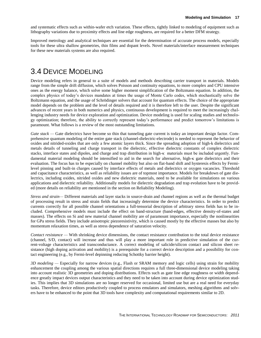and systematic effects such as within-wafer etch variation. These effects, tightly linked to modeling of equipment such as lithography variations due to proximity effects and line edge roughness, are required for a better DFM strategy.

Improved metrology and analytical techniques are essential for the determination of accurate process models, especially tools for these ultra shallow geometries, thin films and dopant levels. Novel materials/interface measurement techniques for these new materials systems are also required.

### <span id="page-20-0"></span>3.4 DEVICE MODELING

Device modeling refers in general to a suite of models and methods describing carrier transport in materials. Models range from the simple drift diffusion, which solves Poisson and continuity equations, to more complex and CPU intensive ones as the energy balance, which solve some higher moment simplification of the Boltzmann equation. In addition, the complex physics of today's devices mandates at times the usage of Monte Carlo codes, which stochastically solve the Boltzmann equation, and the usage of Schrödinger solvers that account for quantum effects. The choice of the appropriate model depends on the problem and the level of details required and it is therefore left to the user. Despite the significant advances of recent years in both numerics and physics, continuous development is required to meet the increasingly challenging industry needs for device exploration and optimization. Device modeling is used for scaling studies and technology optimization; therefore, the ability to correctly represent today's performance and predict tomorrow's limitations is paramount. What follows is a review of the most outstanding limitations.

*Gate stack* — Gate dielectrics have become so thin that tunneling gate current is today an important design factor. Comprehensive quantum modeling of the entire gate stack (channel-dielectric-electrode) is needed to represent the behavior of oxides and nitrided-oxides that are only a few atomic layers thick. Since the spreading adoption of high-k dielectrics and metals details of tunneling and charge transport in the dielectric, effective dielectric constants of complex dielectric stacks, interface states and dipoles, and charge and trap distribution in high-κ materials must be included urgently. Fundamental material modeling should be intensified to aid in the search for alternative, high- $\kappa$  gate dielectrics and their evaluation. The focus has to be especially on channel mobility but also on flat-band shift and hysteresis effects by Fermilevel pinning and built-in charges caused by interface effects of metals and dielectrics or oxygen vacancies. Threshold and capacitance characteristics, as well as reliability issues are of topmost importance. Models for breakdown of gate dielectrics, including oxides, nitrided oxides and new dielectric materials, need to be available for simulations on various applications and dielectric reliability. Additionally models for dielectric degradation and trap evolution have to be provided (more details on reliability are mentioned in the section on Reliability Modeling).

*Stress and strain—* Different materials and layer stacks in source-drain and channel regions as well as the thermal budget of processing result in stress and strain fields that increasingly determine the device characteristics. In order to predict currents correctly for all possible channel orientations a full-tensorial description of arbitrary stress fields has to be included. Comprehensive models must include the effect on band-structure (band-edges, effective density-of-states and masses). The effects on Si and new material channel mobility are of paramount importance, especially the nonlinearities for GPa stress fields. They include anisotropic piezoresistivity, which is caused mostly by the effective masses but also by momentum relaxation times, as well as stress dependence of saturation velocity.

*Contact resistance* — With shrinking device dimensions, the contact resistance contribution to the total device resistance (channel, S/D, contact) will increase and thus will play a more important role in predictive simulation of the current-voltage characteristics and transconductance. A correct modeling of salicide/silicon contact and silicon sheet resistance (high doping activation and mobility) is a prerequisite for a correct device description and a possibility for contact engineering (e.g., by Fermi-level depinning reducing Schottky barrier height).

*3D modeling —* Especially for narrow devices (e.g., Flash or SRAM memory and logic cells) using strain for mobility enhancement the coupling among the various spatial directions requires a full three-dimensional device modeling taking into account realistic 3D geometries and doping distributions. Effects such as gate line edge roughness or width dependence greatly impact devices output characteristics and they need to be taken into account during device optimization studies. This implies that 3D simulations are no longer reserved for occasional, limited use but are a real need for everyday tasks. Therefore, device editors productively coupled to process emulators and simulators, meshing algorithms and solvers have to be enhanced to the point that 3D tools have complexity and computational requirements similar to 2D.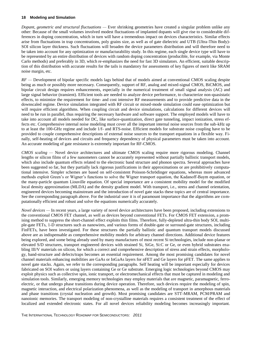*Dopant, geometric and structural fluctuations —* Ever shrinking geometries have created a singular problem unlike any other: Because of the small volumes involved modest fluctuations of implanted dopants will give rise to considerable differences in doping concentration, which in turn will have a tremendous impact on devices characteristics. Similar effects arise from fluctuations in trap concentrations, poly grains size, as well as of gate dielectric and UTB (Ultra-Thin Body)- SOI silicon layer thickness. Such fluctuations will broaden the device parameters distribution and will therefore need to be taken into account for any optimization or manufacturability study. In this regime, each single device type will have to be represented by an entire distribution of devices with random doping concentration (producible, for example, via Monte Carlo methods) and preferably in 3D, which re-emphasizes the need for fast 3D simulators. An efficient, suitable description of this distribution with accurate results for the tails is mandatory for assessments of key figures of merit like SRAM noise margin, etc.

*RF —* Development of bipolar specific models lags behind that of models aimed at conventional CMOS scaling despite being as much or possibly more necessary. Consequently, support of RF, analog and mixed-signal CMOS, BiCMOS, and bipolar circuit design requires enhancements, especially in the numerical treatment of small signal analysis (AC) and large signal behavior (transient). Efficient tools are needed to analyze device performance, to characterize non-quasistatic effects, to minimize the requirement for time- and cost intensive RF measurements and to provide predictive data in the downscaled regime. Device simulation integrated with RF circuit or mixed-mode simulation could ease optimization but will require efficient algorithms. When coupling circuit and device simulations, calculations for different devices will need to be run in parallel, thus requiring the necessary hardware and software support. The employed models will have to take into account all models needed for DC, like surface-quantization, direct gate tunneling, impact ionization, stress effects etc. Comprehensive internal noise modeling must cover all the important internal noise sources from the sub-kHz up to at least the 100-GHz regime and include 1/f- and RTS-noise. Efficient models for substrate noise coupling have to be provided to couple comprehensive descriptions of external noise sources to the transport equations in a flexible way. Finally, self-heating of devices and circuits and frequency dependency of physical parameters must be taken into account. An accurate modeling of gate resistance is extremely important for RF-CMOS.

*CMOS scaling —* Novel device architectures and ultimate CMOS scaling require more rigorous modeling. Channel lengths or silicon films of a few nanometers cannot be accurately represented without partially ballistic transport models, which also include quantum effects related to the electronic band structure and phonon spectra. Several approaches have been suggested so far, but they partially lack rigorous justifications in their approximations or are prohibitively computational intensive. Simpler schemes are based on self-consistent Poisson-Schrödinger equations, whereas more advanced methods exploit Green's or Wigner's functions to solve the Wigner transport equation, the Kadanoff-Baym equation, or the many-particle quantum Liouville equation. Of special importance are a consistent mobility model for the modified local density approximation (MLDA) and the density gradient model. With transport, i.e., stress and channel orientation, engineered devices becoming mainstream and the introduction of novel gate stacks these topics are of central importance. See the corresponding paragraph above. For the industrial user it is of paramount importance that the algorithms are computationally efficient and robust and solve the equations numerically accurately.

*Novel devices —* In recent years, a large variety of novel device architectures have been proposed, including extensions to the conventional CMOS FET channel, as well as devices beyond conventional FETs. For CMOS FET extension, a promising method to suppress the short-channel effect exploits thin films. Therefore, fully-depleted ultra-thin body SOI, multiple-gate FETs, 1-D structures such as nanowires, and various forms of double-gate or surround-gate structures, including FinFETs, have been investigated. For these structures the partially ballistic and quantum transport models discussed above are as indispensable as comprehensive mobility models for arbitrary channel directions. Additional device features being explored, and some being already used by many manufactures of most recent Si technologies, include non-planar or elevated S/D structures, transport engineered devices with strained Si, SiGe, Si:C or Ge, or even hybrid substrates enabling III/V materials on silicon, for which a correct and comprehensive description of stress and strain effects, morphology, band-structure and defects/traps becomes an essential requirement. Among the most promising candidates for novel channel materials enhancing mobilities are GaAs or InGaAs layers for nFET and Ge layers for pFET. The same applies to novel gate stacks. Again, we refer to the corresponding paragraphs. Self heating will be important especially for devices fabricated on SOI wafers or using layers containing Ge or Ge substrate. Emerging logic technologies beyond CMOS may exploit physics such as collective spin, ionic transport, or electromechanical effects that must be captured in modeling and simulation tools. Similarly, emerging memory technologies may employ materials that are magnetic, paramagnetic, ferroelectric, or that undergo phase transitions during device operation. Therefore, such devices require the modeling of spin, magnetic interaction, and electrical polarization phenomena, as well as the modeling of transport in amorphous materials and phase transitions (crystal nucleation and growth). Most promising candidates are STT-MRAM, PCM/PRAM and nanoionic memories. The transport modeling of non-crystalline materials requires a consistent treatment of the effect of localized and extended electronic states. For all novel devices reliability modeling becomes increasingly important.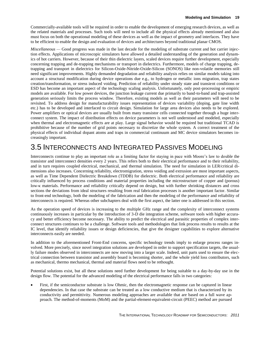Commercially-available tools will be required in order to enable the development of emerging research devices, as well as the related materials and processes. Such tools will need to include all the physical effects already mentioned and also must focus on both the operational modeling of these devices as well as the impact of geometry and interfaces. They have to be efficient to enable the design and evaluation of devices and architectures beyond traditional planar CMOS.

*Miscellaneous —* Good progress was made in the last decade for the modeling of substrate current and hot carrier injection effects. Applications of microscopic simulators have allowed a detailed understanding of the generation and dynamics of hot carriers. However, because of their thin dielectric layers, scaled devices require further development, especially concerning trapping and de-trapping mechanisms or transport in dielectrics. Furthermore, models of charge trapping, detrapping and transport in dielectrics for Silicon-Oxide-Nitride-Oxide-Silicon (SONOS) like non-volatile memories still need significant improvements. Highly demanded degradation and reliability analysis relies on similar models taking into account a structural modification during device operations due e.g., to hydrogen or metallic ions migration, trap states creation/transformation, or stress induced voiding. Prediction of reliability under steady state and transient conditions or ESD has become an important aspect of the technology scaling analysis. Unfortunately, only post-processing or empiric models are available. For low power devices, the junction leakage current due primarily to band-to-band and trap-assisted generation seriously limits the process window. Therefore, existing models as well as their parameters will need to be revisited. To address design for manufacturability issues representation of devices variability (doping, gate line width etc.) has to be developed and interfaced to circuit design. Simulation for large area devices also needs to be explored. Power amplifiers or optical devices are usually built from many transistor cells connected together through a huge interconnect system. The impact of distribution effects on device parameters is not well understood and modeled, especially when thermal and electromagnetic effects are at play. Large signal behavior would be required but traditional TCAD is prohibitive because of the number of grid points necessary to discretize the whole system. A correct treatment of the physical effects of individual dopant atoms and traps in commercial continuum and MC device simulators becomes increasingly important.

### <span id="page-22-0"></span>3.5 INTERCONNECTS AND INTEGRATED PASSIVES MODELING

Interconnects continue to play an important role as a limiting factor for staying in pace with Moore's law to double the transistor and interconnect densities every 2 years. This refers both to their electrical performance and to their reliability, and in turn requires coupled electrical, mechanical, and thermal simulation. The need for simulation in LER/critical dimensions also increases. Concerning reliability, electromigration, stress voiding and extrusion are most important aspects, as well as Time Dependent Dielectric Breakdown (TDDB) for dielectric. Both electrical performance and reliability are critically influenced by process conditions and material properties including the microstructure of copper and (porous) low-κ materials. Performance and reliability critically depend on design, but with further shrinking distances and cross sections the deviations from ideal structures resulting from real fabrication processes is another important factor. Similar to front-end technology, both the modeling of the fabrication and then the modeling of the performance and reliability of interconnects is required. Whereas other subchapters deal with the first aspect, the latter one is addressed in this section.

As the operation speed of devices is increasing to the multiple GHz range and the complexity of interconnect systems continuously increases in particular by the introduction of 3-D die integration scheme, software tools with higher accuracy and better efficiency become necessary. The ability to predict the electrical and parasitic properties of complex interconnect structures continues to be a challenge. Software tools and methodologies that link process results to results at the IC level, that identify reliability issues or design deficiencies, that give the designer capabilities to explore alternative interconnects easily are needed.

In addition to the aforementioned Front-End concerns, specific technology trends imply to enlarge process ranges involved. More precisely, since novel integration solutions are developed in order to support specification targets, the usually failure modes observed in interconnects are now moving into a larger scale. Indeed, unit parts used to ensure the electrical connection between transistor and assembly board is becoming shorter, and the whole yield loss contributors, such as mechanical, thermo mechanical, thermal and material flows need to be rethought.

Potential solutions exist, but all these solutions need further development for being suitable to a day-by-day use in the design flow. The potential for the advanced modeling of the electrical performance falls in two categories:

 First, if the semiconductor substrate is low Ohmic, then the electromagnetic response can be captured in linear dependencies. In that case the substrate can be treated as a low conductive medium that is characterized by its conductivity and permittivity. Numerous modeling approaches are available that are based on a full wave approach. The method-of-moments (MoM) and the partial-element-equivalent-circuit (PEEC) method are pursued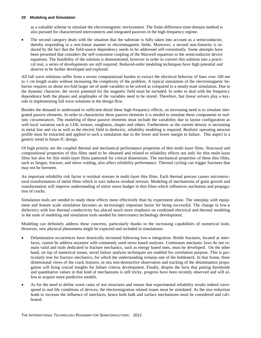as a valuable scheme to simulate the electromagnetic environment. The finite-difference-time-domain method is also pursued for characterized interconnects and integrated passives in the high-frequency regime.

 The second category deals with the situation that the substrate is fully taken into account as a semiconductor, thereby responding in a non-linear manner to electromagnetic fields. Moreover, a second non-linearity is induced by the fact that the field-source dependency needs to be addressed self-consistently. Some attempts have been presented that considers the self-consistent coupling of the Maxwell equations to the semiconductor device equations. The feasibility of the solution is demonstrated, however in order to convert this solution into a practical tool, a series of developments are still required. Reduced-order modeling techniques have high potential and deserve to be further developed and explored.

All full wave solutions suffer from a severe computational burden to extract the electrical behavior of lines over 100 nm to 1 cm length scales without increasing the complexity of the problem. A typical simulation of the electromagnetic behavior requires an about ten-fold larger set of node variables to be solved as compared to a steady-state simulation. Due to the dynamic character, the vector potential for the magnetic field must be included. In order to deal with the frequency dependence both the phases and amplitudes of the variables need to be stored. Therefore, fast linear solvers play a keyrole in implementing full wave solutions in the design flow.

Besides the demand to understand in sufficient detail these high-frequency effects, an increasing need is to simulate integrated passive elements. In order to characterize these passive elements it is needed to simulate these components in realistic circumstances. The modeling of these passive elements must include the variability due to layout configuration as well local variation such as LER, texture, roughness, shapes and others. Furthermore as the current density is increasing in metal line and via as well as the electric field in dielectric, reliability modeling is required. Realistic operating mission profile must be extracted and applied to such a simulation due to the lower and lower margin to failure. This aspect is a generic trend in future IC design.

Of high priority are the coupled thermal and mechanical performance properties of thin multi-layer films. Structural and compositional properties of thin films need to be obtained and related to reliability effects not only for thin multi-layer films but also for thin multi-layer films patterned for critical dimensions. The mechanical properties of these thin films, such as fatigue, fracture, and stress voiding, also affect reliability performance. Thermal cycling can trigger fractures that may not be foreseen.

An important reliability risk factor is residual stresses in multi-layer thin films. Each thermal process causes microstructural transformation of metal films which in turn induces residual stresses. Modeling of mechanisms of grain growth and transformation will improve understanding of entire stress budget in thin films which influences nucleation and propagation of cracks.

Simulation tools are needed to study these effects more effectively than by experiment alone. The interplay with equipment and feature scale simulation becomes an increasingly important factor for being successful. The change to low dielectrics with low thermal conductivity has placed much more emphasis on combined electrical and thermal modeling in the suite of modeling and simulation tools needed for interconnect technology development.

Modeling can definitely address these concerns, particularly thanks to the increasing capabilities of numerical tools. However, new physical phenomena might be expected and included in simulations:

- Delamination occurrences have drastically increased following low-κ integration. Brittle fractures, located at interfaces, cannot be address anymore with commonly used stress based analyses. Continuum mechanic laws do not remain valid and tools dedicated to fracture mechanics, such as energy based ones, must be developed. On the other hand, on top of numerical issues, novel failure analysis techniques are enabled for correlation purpose. This is particularly true for fracture mechanics, for which the understanding remains one of the bottleneck. In that frame, three dimensional views of the crack features, in situ non-destructive observation and tracking of the delamination propagation will bring crucial insights for failure criteria development. Finally, despite the facts that putting thresholds and quantitative values in that kind of mechanisms is still tricky, progress have been recently observed and will allow to acquire more predictive models.
- As for the need to define worst cases of test structures and ensure that experimental reliability results indeed correspond to real life conditions of devices, the electromigration related issues must be simulated. As the size reduction leads to increase the influence of interfaces, hence both bulk and surface mechanisms must be considered and calibrated.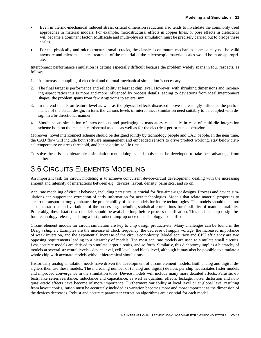- Even in thermo-mechanical induced stress, critical dimension reduction also tends to invalidate the commonly used approaches in material models: For example, microstructural effects in copper lines, or pore effects in dielectrics will became a dominant factor. Multiscale and multi-physics simulation must be precisely carried out to bridge these scales.
- For the physically and microstructural small cracks, the classical continuum mechanics concept may not be valid anymore and micromechanics treatment of the material at the microscopic material scales would be more appropriate.

Interconnect performance simulation is getting especially difficult because the problem widely spans in four respects, as follows:

- 1. An increased coupling of electrical and thermal-mechanical simulation is necessary.
- 2. The final target is performance and reliability at least at chip level. However, with shrinking dimensions and increasing aspect ratios this is more and more influenced by process details leading to deviations from ideal interconnect shapes, the problem spans from few Angstroms to several mm.
- 3. In the end details on feature level as well as the physical effects discussed above increasingly influence the performance of the actual design. In turn, the various levels of interconnect simulation need suitably to be coupled with design in a bi-directional manner.
- 4. Simultaneous simulation of interconnects and packaging is mandatory especially in case of multi-die integration scheme both on the mechanical/thermal aspects as well as for the electrical performance behavior.

Moreover, novel interconnect scheme should be designed jointly by technology people and CAD people. In the near time, the CAD flow will include both software management and embedded sensors to drive product working, stay below critical temperature or stress threshold, and hence optimize life time.

To solve these issues hierarchical simulation methodologies and tools must be developed to take best advantage from each other.

### <span id="page-24-0"></span>3.6 CIRCUITS ELEMENTS MODELING

An important task for circuit modeling is to achieve concurrent device/circuit development, dealing with the increasing amount and intensity of interactions between e.g., devices, layout, density, parasitics, and so on.

Accurate modeling of circuit behavior, including parasitics, is crucial for first-time-right designs. Process and device simulations can support the extraction of early information for new technologies. Models that relate material properties to electron transport strongly enhance the predictability of these models for future technologies. The models should take into account statistics and variations of the processing, including statistical correlations for feasibility of manufacturability. Preferably, these (statistical) models should be available long before process qualification. This enables chip design before technology release, enabling a fast product ramp-up once the technology is qualified.

Circuit element models for circuit simulation are key to chip design productivity. Many challenges can be found in the *Design chapter*. Examples are the increase of clock frequency, the decrease of supply voltage, the increased importance of weak inversion, and the exponential increase of the circuit complexity. Model accuracy and CPU efficiency are two opposing requirements leading to a hierarchy of models. The most accurate models are used to simulate small circuits. Less accurate models are derived to simulate larger circuits, and so forth. Similarly, this dichotomy implies a hierarchy of models at several structural levels - device level, cell level, and block level, although it may also be possible to simulate a whole chip with accurate models without hierarchical simulations.

Historically analog simulation needs have driven the development of circuit element models. Both analog and digital designers then use these models. The increasing number of (analog and digital) devices per chip necessitates faster models and improved convergence in the simulation tools. Device models will include many more detailed effects. Parasitic effects, like series resistance, inductance and capacitance, as well as quantum effects, leakage, noise, distortion and nonquasi-static effects have become of more importance. Furthermore variability at local level or at global level resulting from layout configuration must be accurately included as variation becomes more and more important as the dimension of the devices decreases. Robust and accurate parameter extraction algorithms are essential for each model.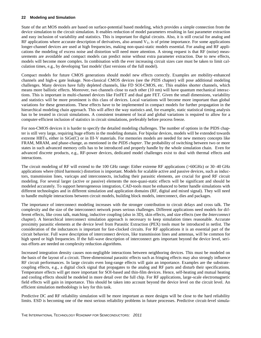State of the art MOS models are based on surface-potential based modeling, which provides a simple connection from the device simulation to the circuit simulation. It enables reduction of model parameters resulting in fast parameter extraction and easy inclusion of variability and statistics. This is important for digital circuits. Also, it is still crucial for analog and RF applications where accurate description of derivatives, also around  $V_T$ , is of prime importance. For some applications longer-channel devices are used at high frequencies, making non-quasi-static models essential. For analog and RF applications the modeling of excess noise and distortion will need more attention. A strong request is that RF (noise) measurements are avoidable and compact models can predict noise without extra parameter extraction. Due to new effects, models will become more complex. In combination with the ever increasing circuit sizes care must be taken to limit calculation times, e.g., by developing 'fast models' (fast versions of the full model).

Compact models for future CMOS generations should model new effects correctly. Examples are mobility-enhanced channels and high-<sub>K</sub> gate leakage. Non-classical CMOS devices (see the *PIDS* chapter) will pose additional modeling challenges. Many devices have fully depleted channels, like FD SOI-CMOS, etc. This enables shorter channels, which means more ballistic effects. Moreover, two channels close to each other (10 nm) will have quantum mechanical interactions. This is important in multi-channel devices like FinFET and dual gate FET. Given the small dimensions, variability and statistics will be more prominent is this class of devices. Local variations will become more important than global variations for these generations. These effects have to be implemented in compact models for further propagation in the hierarchical modeling chain approach. This will affect the way statistics and, for example, static statistical timing analysis has to be treated in circuit simulations. A consistent treatment of local and global variations is required to allow for a computer-efficient inclusion of statistics in circuit simulations, preferably before process freeze.

For non-CMOS devices it is harder to specify the detailed modeling challenges. The number of options in the PIDS chapter is still very large, requiring huge efforts in the modeling domain. For bipolar devices, models will be extended towards extreme HBTs, either in SiGe(C) or in III-V materials. For memories models are needed for new memory concepts like FRAM, MRAM, and phase-change, as mentioned in the *PIDS chapter*. The probability of switching between two or more states in such advanced memory cells has to be introduced and properly handle by the whole simulation chain. Even for advanced discrete products, e.g., RF-power devices, dedicated model challenges exist to deal with thermal effects and interactions.

The circuit modeling of RF will extend to the 100 GHz range: Either extreme RF applications (>60GHz) or 30–40 GHz applications where (third harmonic) distortion is important. Models for scalable active and passive devices, such as inductors, transmission lines, varicaps and interconnects, including their parasitic elements, are crucial for good RF circuit modeling. For several larger (active or passive) elements the non-quasi-static effects will be significant and should be modeled accurately. To support heterogeneous integration, CAD-tools must be enhanced to better handle simulations with different technologies and in different simulation and application domains (RF, digital and mixed signal). They will need to handle multiple interactions between circuit models, building block models, interconnect, dies and packages.

The importance of interconnect modeling increases with the stronger contribution to circuit delays and cross talk. The complexity and the size of the interconnect network poses serious challenges. Different applications need models for different effects, like cross talk, matching, inductive coupling (also in 3D), skin effects, and size effects (see the *Interconnect* chapter). A hierarchical interconnect simulation approach is necessary to keep simulation times reasonable. Accurate proximity parasitic elements at the device level from Parasitic Extraction (PEX) tools must be introduced in netlist. The consideration of the inductances is important for fast-clocked circuits. For RF applications it is an essential part of the circuit behavior. Full wave description of interconnect devices, like transmission lines and antennas, will be common for high speed or high frequencies. If the full-wave description of interconnect gets important beyond the device level, serious efforts are needed on complexity reduction algorithms.

Increased integration density causes non-negligible interactions between neighboring devices. This must be modeled on the basis of the layout of a circuit. Three-dimensional parasitic effects such as fringing effects may also strongly influence RF circuit performances. In large circuits even long-range effects will gain an importance. Examples are the substratecoupling effects, e.g., a digital clock signal that propagates to the analog and RF parts and disturb their specifications. Temperature effects will get more important for SOI-based and thin-film devices. Hence, self-heating and mutual heating and cooling effects should be modeled in more detail over the full chip. For RF applications, large-scale electromagnetic field effects will gain in importance. This should be taken into account beyond the device level on the circuit level. An efficient simulation methodology is key for this task.

Predictive DC and RF reliability simulation will be more important as more designs will be close to the hard reliability limits. ESD is becoming one of the most serious reliability problems in future processes. Predictive circuit-level simula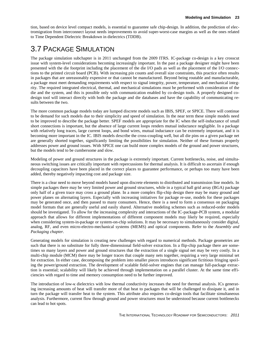tion, based on device level compact models, is essential to guarantee safe chip-design. In addition, the prediction of electromigration from interconnect layout needs improvements to avoid super-worst-case margins as well as the ones related to Time Dependent Dielectric Breakdown in dielectrics (TDDB).

### <span id="page-26-0"></span>3.7 PACKAGE SIMULATION

The package simulation subchapter is in 2011 unchanged from the 2009 ITRS. IC-package co-design is a key crosscut issue with system-level considerations becoming increasingly important. In the past a package designer might have been presented with the die footprint including the placement of the die I/O pads as well as the placement of the I/O connections to the printed circuit board (PCB). With increasing pin counts and overall size constraints, this practice often results in packages that are unreasonably expensive or that cannot be manufactured. Beyond being routable and manufacturable, a package must meet demanding requirements with respect to signal integrity, power, temperature, and mechanical integrity. The required integrated electrical, thermal, and mechanical simulations must be performed with consideration of the die and the system, and this is possible only with communication enabled by co-design tools. A properly designed codesign tool will interact directly with both the package and die databases and have the capability of communicating results between the two.

The more common package models today are lumped discrete models such as IBIS, SPEF, or SPICE. There will continue to be demand for such models due to their simplicity and speed of simulation. In the near term these simple models need to be improved to describe the package better. SPEF models are appropriate for the IC when the self-inductance of small short connections is important, but the absence of large current loops renders mutual inductance negligible. In a package with relatively long traces, large current loops, and bond wires, mutual inductance can be extremely important, and it is becoming more important in the IC. IBIS models describe the cross-coupling well, but all die pins on a given package net are generally shorted together, significantly limiting the possibilities for simulation. Neither of these formats properly addresses power and ground issues. With SPICE one can build more complex models of the ground and power structures, but the models tend to be cumbersome and slow.

Modeling of power and ground structures in the package is extremely important. Current bottlenecks, noise, and simultaneous switching issues are critically important with repercussions for thermal analysis. It is difficult to ascertain if enough decoupling capacitors have been placed in the correct places to guarantee performance, or perhaps too many have been added, thereby negatively impacting cost and package size.

There is a clear need to move beyond models based upon discrete elements to distributed and transmission line models. In simple packages there may be very limited power and ground structures, while in a typical ball grid array (BGA) package only half of a given trace may cross a ground plane. In a more complex flip-chip design there may be many ground and power planes on alternating layers. Especially with increasing initiatives for package re-use, models for these packages may be generated once, and then passed to many consumers. Hence, there is a need to form a consensus on packaging model formats that are generally useful and easily shared. Alternative modeling schemes such as reduced-order models should be investigated. To allow for the increasing complexity and interactions of the IC-package-PCB system, a modular approach that allows for different implementations of different component models may likely be required, especially when considering system-in-package or system-on-chip solutions. It may be necessary to simultaneously consider digital, analog, RF, and even micro-electro-mechanical systems (MEMS) and optical components. Refer to the *Assembly and Packaging chapter.*

Generating models for simulation is creating new challenges with regard to numerical methods. Package geometries are such that there is no substitute for fully three-dimensional field-solver extraction. In a flip-chip package there are sometimes so many layers and power and ground structures that the extraction of a single signal net may be very costly. In a multi-chip module (MCM) there may be longer traces that couple many nets together, requiring a very large minimal set for extraction. In either case, decomposing the problem into smaller pieces introduces significant fictitious fringing spoiling the power/ground extraction. The development of scalable field-solver engines that can manage full-package extraction is essential; scalability will likely be achieved through implementation on a parallel cluster. At the same time efficiencies with regard to time and memory consumption need to be further improved.

The introduction of low- $\kappa$  dielectrics with low thermal conductivity increases the need for thermal analysis. ICs generating increasing amounts of heat will transfer more of that heat to packages that will be challenged to dissipate it, and in turn the package will transfer heat to the system. This attribute also requires co-design tools that facilitate simultaneous analysis. Furthermore, current flow through ground and power structures must be understood because current bottlenecks can lead to hot spots.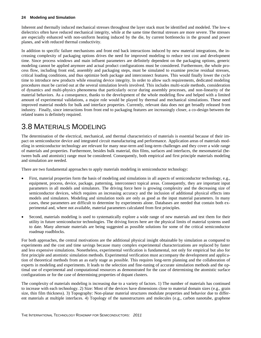Inherent and thermally induced mechanical stresses throughout the layer stack must be identified and modeled. The low- $\kappa$ dielectrics often have reduced mechanical integrity, while at the same time thermal stresses are more severe. The stresses are especially enhanced with non-uniform heating induced by the die, by current bottlenecks in the ground and power planes, and with reduced thermal conductivity.

In addition to specific failure mechanisms and front end back interactions induced by new material integrations, the increasing complexity of packaging options drives the need for improved modeling to reduce test cost and development time. Since process windows and main influent parameters are definitely dependent on the packaging options, generic modeling cannot be applied anymore and actual product configurations must be considered. Furthermore, the whole process flow, including front end, assembly and packaging steps, must be simulated to examine precise residual stresses, critical loading conditions, and thus optimize both package and interconnect features. This would finally lower the cycle time to introduce new products while ensuring device integrity. In order to allow such requirements, dedicated modeling procedures must be carried out at the several simulation levels involved. This includes multi-scale methods, consideration of dynamics and multi-physics phenomena that particularly occur during assembly processes, and non-linearity of the material behaviors. As a consequence, thanks to the development of the whole modeling flow and helped with a limited amount of experimental validations, a major role would be played by thermal and mechanical simulations. These need improved material models for bulk and interface properties. Currently, relevant data does not get broadly released from industry. Finally, since interactions from front end to packaging features are increasingly closer, a co-design between the related teams is definitely required.

### <span id="page-27-0"></span>3.8 MATERIALS MODELING

The determination of the electrical, mechanical, and thermal characteristics of materials is essential because of their impact on semiconductor device and integrated circuit manufacturing and performance. Application areas of materials modeling in semiconductor technology are relevant for many near-term and long-term challenges and they cover a wide range of materials and properties. Furthermore, besides bulk material, thin films, surfaces and interfaces, the mesomaterial (between bulk and atomistic) range must be considered. Consequently, both empirical and first principle materials modeling and simulation are needed.

There are two fundamental approaches to apply materials modeling in semiconductor technology:

- First, material properties form the basis of modeling and simulations in all aspects of semiconductor technology, e.g., equipment, process, device, package, patterning, interconnect topical areas. Consequently, they are important input parameters in all models and simulators. The driving force here is growing complexity and the decreasing size of semiconductor devices, which requires an increasing accuracy and the inclusion of additional physical effects into models and simulators. Modeling and simulation tools are only as good as the input material parameters. In many cases, these parameters are difficult to determine by experiments alone. Databases are needed that contain both experimental and, where not available, material parameters calculated from first principles.
- Second, materials modeling is used to systematically explore a wide range of new materials and test them for their utility in future semiconductor technologies. The driving forces here are the physical limits of material systems used to date. Many alternate materials are being suggested as possible solutions for some of the critical semiconductor roadmap roadblocks.

For both approaches, the central motivations are the additional physical insight obtainable by simulation as compared to experiments and the cost and time savings because many complex experimental characterizations are replaced by faster and less expensive simulations. Nonetheless, experimental verification is fundamental, not only for empirical but also for first principle and atomistic simulation methods. Experimental verification must accompany the development and application of theoretical methods from an as early stage as possible. This requires long-term planning and the collaboration of experts in modeling and experiments. It leads to the selection and fine-tuning of accurate simulation methods and the optimal use of experimental and computational resources as demonstrated for the case of determining the atomistic surface configurations or for the case of determining properties of dopant clusters.

The complexity of materials modeling is increasing due to a variety of factors. 1) The number of materials has continued to increase with each technology. 2) Size: Most of the devices have dimensions close to material domain sizes (e.g., grain size, thin film thickness). 3) Topography: Non-planar material structures modulate properties and behavior due to different materials at multiple interfaces. 4) Topology of the nanostructures and molecules (e.g., carbon nanotube, graphene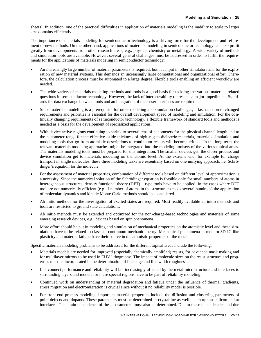sheets). In addition, one of the practical difficulties in application of materials modeling is the inability to scale to larger size domains efficiently.

The importance of materials modeling for semiconductor technology is a driving force for the development and refinement of new methods. On the other hand, applications of materials modeling in semiconductor technology can also profit greatly from developments from other research areas, e.g., physical chemistry or metallurgy. A wide variety of methods and simulation tools are available. However, several general challenges must be addressed in order to fulfill the requirements for the applications of materials modeling in semiconductor technology:

- An increasingly large number of material parameters is required, both as input in other simulators and for the exploration of new material systems. This demands an increasingly large computational and organizational effort. Therefore, the calculation process must be automated to a large degree. Flexible tools enabling an efficient workflow are needed.
- The wide variety of materials modeling methods and tools is a good basis for tackling the various materials related questions in semiconductor technology. However, the lack of interoperability represents a major impediment. Standards for data exchange between tools and an integration of their user interfaces are required.
- Since materials modeling is a prerequisite for other modeling and simulation challenges, a fast reaction to changed requirements and priorities is essential for the overall development speed of modeling and simulation. For the continually changing requirements of semiconductor technology, a flexible framework of standard tools and methods is needed as a basis for the development of specialized applications.
- With device active regions continuing to shrink to several tens of nanometers for the physical channel length and to the nanometer range for the effective oxide thickness of high-κ gate dielectric materials, materials simulation and modeling tools that go from atomistic descriptions to continuum results will become critical. In the long term, the relevant materials modeling approaches might be integrated into the modeling toolsets of the various topical areas. The materials modeling tools must be prepared for this integration. The smaller devices get, the closer process and device simulation get to materials modeling on the atomic level. At the extreme end, for example for charge transport in single molecules, these three modeling tasks are essentially based on one unifying approach, i.e. Schrödinger's equation for the molecule.
- For the assessment of material properties, combination of different tools based on different level of approximation is a necessity. Since the numerical solution of the Schrödinger equation is feasible only for small numbers of atoms in heterogeneous structures, density functional theory (DFT) – type tools have to be applied. In the cases where DFT tool are not numerically efficient (e.g. if number of atoms in the structure exceeds several hundreds) the application of molecular dynamics and kinetic Monte Carlo methods should be considered.
- Ab initio methods for the investigation of excited states are required. Most readily available ab initio methods and tools are restricted to ground state calculations.
- Ab initio methods must be extended and optimized for the non-charge-based technologies and materials of some emerging research devices, e.g., devices based on spin phenomena.
- More effort should be put in modeling and simulation of mechanical properties on the atomistic level and these simulations have to be related to classical continuum mechanic theory. Mechanical phenomena in modern 3D IC like plasticity and material fatigue have their source in the atomistic properties of the metal.

Specific materials modeling problems to be addressed for the different topical areas include the following:

- Materials models are needed for improved (especially chemically amplified) resists, for advanced mask making and for multilayer mirrors to be used in EUV lithography. The impact of molecule sizes on the resist structure and properties must be incorporated in the determination of line edge and line width roughness.
- Interconnect performance and reliability will be increasingly affected by the metal microstructure and interfaces to surrounding layers and models for these special regions have to be part of reliability modeling.
- Continued work on understanding of material degradation and fatigue under the influence of thermal gradients, stress migration and electromigration is crucial since without it no reliability model is possible.
- For front-end process modeling, important material properties include the diffusion and clustering parameters of point defects and dopants. These parameters must be determined in crystalline as well as amorphous silicon and at interfaces. The strain dependence of these parameters must also be determined. Due to these dependencies and due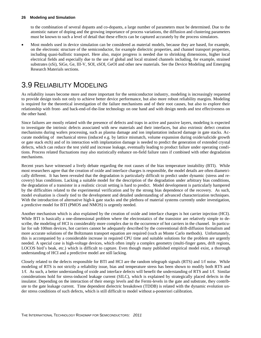to the combination of several dopants and co-dopants, a large number of parameters must be determined. Due to the atomistic nature of doping and the growing importance of process variations, the diffusion and clustering parameters must be known to such a level of detail that these effects can be captured accurately by the process simulators.

 Most models used in device simulation can be considered as material models, because they are based, for example, on the electronic structure of the semiconductor, for example dielectric properties, and channel transport properties, including quasi-ballistic transport. Here also, major progress is needed due to shrinking dimensions, higher local electrical fields and especially due to the use of global and local strained channels including, for example, strained substrates (sSi), SiGe, Ge, III-V, SOI, sSOI, GeOI and other new materials. See the Device Modeling and Emerging Research Materials sections.

### <span id="page-29-0"></span>3.9 RELIABILITY MODELING

As reliability issues become more and more important for the semiconductor industry, modeling is increasingly requested to provide design tools not only to achieve better device performance, but also more robust reliability margins. Modeling is required for the theoretical investigation of the failure mechanisms and of their root causes, but also to explore their relationship with front- and back-end-of-the-line technology on one hand and with design needs and test effectiveness on the other hand.

Since failures are mostly related with the presence of defects and traps in active and passive layers, modeling is expected to investigate the intrinsic defects associated with new materials and their interfaces, but also extrinsic defect creation mechanisms during wafers processing, such as plasma damage and ion implantation induced damage in gate stacks. Accurate modeling of mechanical stress (induced e.g. by lattice mismatch, volume expansion during oxide/salicide growth or gate stack etch) and of its interaction with implantation damage is needed to predict the generation of extended crystal defects, which can reduce the test yield and increase leakage, eventually leading to product failure under operating conditions. Process related fluctuations may also statistically enhance on-field failure rates if combined with other degradation mechanisms.

Recent years have witnessed a lively debate regarding the root causes of the bias temperature instability (BTI). While most researchers agree that the creation of oxide and interface charges is responsible, the model details are often diametrically different. It has been revealed that the degradation is particularly difficult to predict under dynamic (stress and recovery) bias conditions. Lacking a suitable model for the description of the degradation under arbitrary bias conditions, the degradation of a transistor in a realistic circuit setting is hard to predict. Model development is particularly hampered by the difficulties related to the experimental verification and by the strong bias dependence of the recovery. As such, model evaluation is closely tied to the development and detailed understanding of advanced characterization techniques. With the introduction of alternative high-k gate stacks and the plethora of material systems currently under investigation, a predictive model for BTI (PMOS and NMOS) is urgently needed.

Another mechanism which is also explained by the creation of oxide and interface charges is hot carrier injection (HCI). While BTI is basically a one-dimensional problem where the electrostatics of the transistor are relatively simple to describe, the modeling of HCI is considerably more complex due to the occurrence of hot carriers in the channel. In particular for sub 100nm devices, hot carriers cannot be adequately described by the conventional drift-diffusion formalism and more accurate solutions of the Boltzmann transport equation are required (such as Monte Carlo methods). Unfortunately, this is accompanied by a considerable increase in required CPU time and suitable solutions for the problem are urgently needed. A special case is high-voltage devices, which often imply a complex geometry (multi-finger gates, drift regions, LOCOS bird's beak, etc.) which is difficult to capture. Even though many published empirical model exist, a thorough understanding of HCI and a predictive model are still lacking.

Closely related to the defects responsible for BTI and HCI are the random telegraph signals (RTS) and 1/f noise. While modeling of RTS is not strictly a reliability issue, bias and temperature stress has been shown to modify both RTS and 1/f. As such, a better understanding of oxide and interface defects will benefit the understanding of RTS and 1/f. Similar considerations hold for stress-induced leakage current (SILC), which is explained by strategically placed defects in the insulator. Depending on the interaction of their energy levels and the Fermi-levels in the gate and substrate, they contribute to the gate leakage current. Time dependent dielectric breakdown (TDDB) is related with the dynamic evolution under stress conditions of such defects, which is still difficult to model without a-posteriori calibration.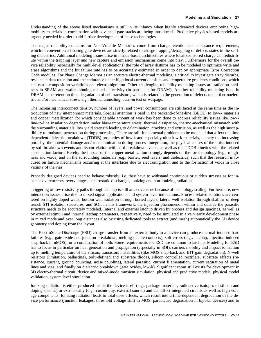Understanding of the above listed mechanisms is still in its infancy when highly advanced devices employing highmobility materials in combination with advanced gate stacks are being introduced. Predictive physics-based models are urgently needed in order to aid further development of these technologies.

The major reliability concerns for Non-Volatile Memories come from charge retention and endurance requirements, which in conventional floating gate devices are strictly related to charge trapping/detrapping of defects states in the sealing dielectrics. Additional modeling issues arise in nitride-based architectures where localized stored charge can redistribute within the trapping layer and new capture and emission mechanisms come into play. Furthermore for the overall device reliability (especially for multi-level applications) the role of array disturbs has to be modeled to optimize write and erase algorithms and the bit failure rate has to be accurately estimated in order to deploy appropriate Error Correction Code modules. For Phase Change Memories an accurate electro-thermal modeling is critical to investigate array disturbs, reset state data retention and the endurance under high local current densities and temperature gradients conditions, which can cause composition variations and electromigration. Other challenging reliability modeling issues are radiation hardness in SRAM and wafer thinning related defectivity (in particular for DRAM). Another reliability modeling issue in DRAM is the retention time degradation of cell transistors, which is related to the generation of defects under thermoelectric and/or mechanical stress, e.g., thermal annealing, burn-in test or warpage.

The increasing interconnect density, number of layers, and power consumption are still faced at the same time as the introduction of new interconnect materials. Special attention is paid in the backend-of-the-line (BEOL) to low-*k* materials and copper metallization for which considerable amount of work has been done to address reliability issues like low-*k*  line-to-line insulation degradation under bias-temperature stress, thermal dissipation, thermo-mechanical mismatch with the surrounding materials, low yield strength leading to delamination, cracking and extrusion, as well as the high susceptibility to moisture penetration during processing. There are still fundamental problems to be modeled that affect the time dependent dielectric breakdown (TDDB) properties of low-k and especially ultra low-k materials, namely the increasing porosity, the potential damage and/or contamination during process integration, the physical causes of the noise induced by soft breakdown events and its correlation with hard breakdown events, as well as the TDDB kinetics with the related acceleration factors. Hereby the impact of the copper metallization strongly depends on the local topology (e.g., roughness and voids) and on the surrounding materials (e.g., barrier, seed layers, and dielectrics) such that the research is focused on failure mechanisms occurring at the interfaces due to electromigration and to the formation of voids in close vicinity of the vias.

Properly designed devices need to behave robustly, i.e. they have to withstand continuous or sudden stresses as for instance overcurrents, overvoltages, electrostatic discharges, ionizing and non-ionizing radiation.

Triggering of low resistivity paths through latchup is still an active issue because of technology scaling. Furthermore, new interaction issues arise due to mixed signal applications and system level interactions. Process-related solutions are centered on highly doped wells, bottom well isolation through buried layers, lateral well isolation through shallow or deep trench STI isolation structures, and SOI. In this framework, the injection phenomenon within and outside the parasitic structure needs to be accurately modeled. Internal and external latchup driven by process and design spacings, as well as by external stimuli and internal latchup parameters, respectively, need to be simulated in a very early development phase in mixed mode and over long distances also by using dedicated tools to extract (and mesh) automatically the 3D device geometry and doping from the layout.

The ElectroStatic Discharge (ESD) charge transfer from an external body to a device can produce thermal-induced hard failures (e.g., gate oxide and junction breakdown, melting of interconnects), soft errors (e.g., latchup, injection-induced snap-back in nMOS), or a combination of both. Some requirements for ESD are common to latchup. Modeling for ESD has to focus in particular on heat generation and propagation (especially in SOI), carriers mobility and impact ionization up to melting temperature of the silicon, transistors instabilities (like MOS snap-back and BJT gain degradation), N-well resistors (limitation, ballasting), poly-defined and substrate diodes, silicon controlled rectifiers, substrate effects (resistance, current, ground bouncing, noise coupling), lateral parasitic, current filamentation, current saturation of metal lines and vias, and finally on dielectric breakdown (gate oxides, low-k). Significant room still exists for development in 3D electro-thermal circuit, device and mixed-mode transient simulation, physical and predictive models, physical model validation, system level simulation.

Ionizing radiation is either produced inside the device itself (e.g., package materials, radioactive isotopes of silicon and doping species) or extrinsically (e.g., cosmic ray, external source) and can affect integrated circuits as well as high voltage components. Ionizing radiation leads to total dose effects, which result into a time-dependent degradation of the device performance (junction leakages, threshold voltage shift in MOS, parametric degradation in bipolar devices) and to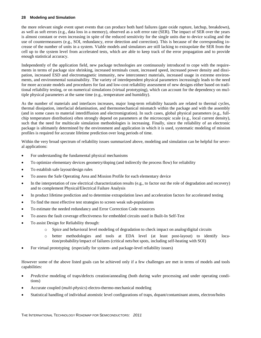the more relevant single event upset events that can produce both hard failures (gate oxide rupture, latchup, breakdown), as well as soft errors (e.g., data loss in a memory), observed as a soft error rate (SER). The impact of SER over the years is almost constant or even increasing in spite of the reduced sensitivity for the single units due to device scaling and the use of countermeasures (e.g., SOI, redundancy, error detection and correction). This is because of the corresponding increase of the number of units in a system. Viable models and simulators are still lacking to extrapolate the SER from the cell up to the system level from accelerated tests, which are able to keep track of the error propagation and to provide enough statistical accuracy.

Independently of the application field, new package technologies are continuously introduced to cope with the requirements in terms of package size shrinking, increased terminals count, increased speed, increased power density and dissipation, increased ESD and electromagnetic immunity, new interconnect materials, increased usage in extreme environments, and environmental sustainability. The variety of interdependent physical parameters increasingly leads to the need for more accurate models and procedures for fast and low-cost reliability assessment of new designs either based on traditional reliability testing, or on numerical simulations (virtual prototyping), which can account for the dependency on multiple physical parameters at the same time (e.g., temperature and humidity).

As the number of materials and interfaces increases, major long-term reliability hazards are related to thermal cycles, thermal dissipation, interfacial delamination, and thermomechanical mismatch within the package and with the assembly (and in some cases to material interdiffusion and electromigration). In such cases, global physical parameters (e.g., fullchip temperature distribution) often strongly depend on parameters at the microscopic scale (e.g., local current density), such that the need for multiscale simulation methodologies is increasing. Finally, since the reliability of an electronic package is ultimately determined by the environment and application in which it is used, systematic modeling of mission profiles is required for accurate lifetime prediction over long periods of time.

Within the very broad spectrum of reliability issues summarized above, modeling and simulation can be helpful for several applications:

- For understanding the fundamental physical mechanisms
- To optimize elementary devices geometry/doping (and indirectly the process flow) for reliability
- To establish safe layout/design rules
- To assess the Safe Operating Area and Mission Profile for each elementary device
- In the interpretation of raw electrical characterization results (e.g., to factor out the role of degradation and recovery) and to complement Physical/Electrical Failure Analysis
- In product lifetime prediction and to determine extrapolation laws and acceleration factors for accelerated testing
- To find the most effective test strategies to screen weak sub-populations
- To estimate the needed redundancy and Error Correction Code resources
- To assess the fault coverage effectiveness for embedded circuits used in Built-In Self-Test
- To assist Design for Reliability through:
	- o Spice and behavioral level modeling of degradation to check impact on analog/digital circuits
	- o better methodologies and tools at EDA level (at least post-layout) to identify location/probability/impact of failures (critical nets/hot spots, including self-heating with SOI)
- For virtual prototyping (especially for system- and package-level reliability issues)

However some of the above listed goals can be achieved only if a few challenges are met in terms of models and tools capabilities:

- *Predictive* modeling of traps/defects creation/annealing (both during wafer processing and under operating conditions)
- Accurate coupled (*multi-physics*) electro-thermo-mechanical modeling
- Statistical handling of individual atomistic level configurations of traps, dopant/contaminant atoms, electron/holes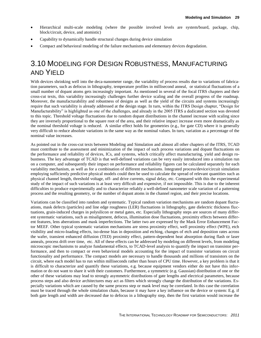- Hierarchical multi-scale modeling (where the possible involved levels are system/board, package, chip, block/circuit, device, and atomistic)
- Capability to dynamically handle structural changes during device simulation
- Compact and behavioral modeling of the failure mechanisms and elementary devices degradation.

### <span id="page-32-0"></span>3.10 MODELING FOR DESIGN ROBUSTNESS, MANUFACTURING AND YIELD

With devices shrinking well into the deca-nanometer range, the variability of process results due to variations of fabrication parameters, such as defocus in lithography, temperature profiles in millisecond anneal, or statistical fluctuations of a small number of dopant atoms gets increasingly important. As mentioned in several of the focal ITRS chapters and their cross-cut texts, this variability increasingly challenges further device scaling and the overall progress of the roadmap. Moreover, the manufacturability and robustness of designs as well as the yield of the circuits and systems increasingly require that such variability is already addressed at the design stage. In turn, within the ITRS Design chapter, "Design for Manufacturability" is highlighted as one of the challenges, and already in the 2005 ITRS a dedicated section was devoted to this topic. Threshold voltage fluctuations due to random dopant distributions in the channel increase with scaling since they are inversely proportional to the square root of the area, and their relative impact increase even more dramatically as the nominal threshold voltage is reduced. A similar effect holds for geometries (e.g., for gate CD) where it is generally very difficult to reduce absolute variations in the same way as the nominal values. In turn, variation as a percentage of the nominal value increases.

As pointed out in the cross-cut texts between Modeling and Simulation and almost all other chapters of the ITRS, TCAD must contribute to the assessment and minimization of the impact of such process variations and dopant fluctuations on the performance and reliability of devices, ICs, and systems, which critically affect manufacturing, yield and design robustness. The key advantage of TCAD is that well-defined variations can be very easily introduced into a simulation run on a computer, and subsequently their impact on performance and reliability figures can be calculated separately for each variability mechanism, as well as for a combination of different mechanisms. Integrated process/device/circuit simulation employing sufficiently predictive physical models could then be used to calculate the spread of relevant quantities such as physical channel length, threshold voltage, off- and drive currents, signal delay, etc. Compared with this the experimental study of the impact of such variations is at least very difficult and expensive, if not impossible. This is due to the inherent difficulties to produce experimentally and to characterize reliably a well-defined nanometer scale variation of a patterning process and the resulting geometry, or the number of dopant atoms in the channel region, and their precise locations.

Variations can be classified into random and systematic. Typical random variation mechanisms are random dopant fluctuations, mask defects (particles) and line edge roughness (LER) fluctuations in lithography, gate dielectric thickness fluctuations, grain-induced charges in polysilicon or metal gates, etc. Especially lithography steps are sources of many different systematic variations, such as misalignment, defocus, illumination dose fluctuations, proximity effects between different features, lens aberrations and mask imperfections. The latter two are expressed by the Mask Error Enhancement Factor MEEF. Other typical systematic variation mechanisms are stress proximity effect, well proximity effect (WPE), etch visibility and micro-loading effects, iso-dense bias in deposition and etching, changes of etch and deposition rates across the wafer, transient enhanced diffusion (TED) proximity effect, pattern-dependent heat absorption during flash or laser anneals, process drift over time, etc. All of these effects can be addressed by modeling on different levels, from modeling microscopic mechanisms to analyze fundamental effects, to TCAD-level analysis to quantify the impact on transistor performance, and then to compact or even behavioral models accounting for the impact of transistor variations on circuit functionality and performance. The compact models are necessary to handle thousands and millions of transistors on the circuit, where each model has to run within milliseconds rather than hours of CPU time. However, a key problem is that it is difficult to characterize and quantify these variations, e.g. because equipment vendors either do not have this information or do not want to share it with their customers. Furthermore, a symmetric (e.g. Gaussian) distribution of one or the other of these variations may lead to strongly asymmetric distributions of gate lengths and electrical parameters, because process steps and also device architectures may act as filters which strongly change the distribution of the variations. Especially variations which are caused by the same process step or mask level may be correlated. In this case the correlation must be traced through the whole simulation chain, because it may have a key influence on the device or system: E.g. if both gate length and width are decreased due to defocus in a lithography step, then the first variation would increase the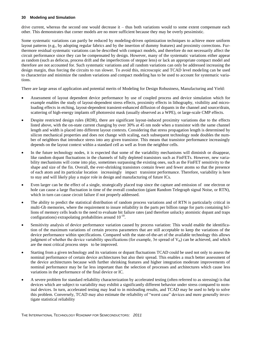drive current, whereas the second one would decrease it – thus both variations would to some extent compensate each other. This demonstrates that corner models are no more sufficient because they may be overly pessimistic.

Some systematic variations can partly be reduced by modeling-driven optimization techniques to achieve more uniform layout patterns (e.g., by adopting regular fabrics and by the insertion of dummy features) and proximity corrections. Furthermore residual systematic variations can be described with compact models, and therefore do not necessarily affect the circuit performance since they can be compensated by design. However, many of the systematic variations either appear as random (such as defocus, process drift and the imperfections of stepper lens) or lack an appropriate compact model and therefore are not accounted for. Such systematic variations and all random variations can only be addressed increasing the design margin, thus forcing the circuits to run slower. To avoid this, microscopic and TCAD level modeling can be used to characterize and minimize the random variations and compact modeling has to be used to account for systematic variations.

There are large areas of application and potential merits of Modeling for Design Robustness, Manufacturing and Yield:

- Assessment of layout dependent device performance by use of coupled process and device simulation which for example enables the study of layout-dependent stress effects, proximity effects in lithography, visibility and microloading effects in etching, layout-dependent transient-enhanced diffusion of dopants in the channel and source/drain, scattering of high-energy implants off photoresist mask (usually observed as a WPE), or large-scale CMP effects.
- Despite restricted design rules (RDR), there are significant layout-induced proximity variations due to the effects listed above, with the on-state current changing by over 30% at 45 nm node when a transistor with the same channel length and width is placed into different layout contexts. Considering that stress propagation length is determined by silicon mechanical properties and does not change with scaling, each subsequent technology node doubles the number of neighbors that introduce stress into any given transistor. This means that transistor performance increasingly depends on the layout context within a standard cell as well as from the neighbor cells.
- In the future technology nodes, it is expected that some of the variability mechanisms will diminish or disappear, like random dopant fluctuations in the channels of fully depleted transistors such as FinFETs. However, new variability mechanisms will come into play, sometimes surpassing the existing ones, such as the FinFET sensitivity to the shape and size of the fin. Overall, the ever-shrinking transistors contain fewer and fewer atoms so that the presence of each atom and its particular location increasingly impact transistor performance. Therefore, variability is here to stay and will likely play a major role in design and manufacturing of future ICs.
- Even larger can be the effect of a single, strategically placed trap since the capture and emission of one electron or hole can cause a large fluctuation in time of the overall conduction (giant Random Telegraph signal Noise, or RTN), which in turn can cause circuit failure if not properly addressed.
- The ability to predict the statistical distribution of random process variations and of RTN is particularly critical in multi-Gb memories, where the requirement to insure reliability in the parts per billion range for parts containing billions of memory cells leads to the need to evaluate bit failure rates (and therefore unlucky atomistic dopant and traps configurations) extrapolating probabilities around  $10^{-18}$ .
- Sensitivity analysis of device performance variation caused by process variation: This would enable the identification of the maximum variations of certain process parameters that are still acceptable to keep the variations of the device performance within specifications. Compared with the state-of-the-art of the available technology this allows judgment of whether the device variability specifications (for example,  $3\sigma$  spread of  $V_{th}$ ) can be achieved, and which are the most critical process steps to be improved.
- Starting from a given technology and its variations or dopant fluctuations TCAD could be used not only to assess the nominal performance of certain device architectures but also their spread. This enables a much better assessment of the device architectures because with further shrinking features and higher integration moderate improvements of nominal performance may be far less important than the selection of processes and architectures which cause less variations in the performance of the final device or IC.
- A severe problem for standard reliability characterization by accelerated testing (often referred to as stressing) is that devices which are subject to variability may exhibit a significantly different behavior under stress compared to nominal devices. In turn, accelerated testing may lead to in misleading results, and TCAD may be used to help to solve this problem. Conversely, TCAD may also estimate the reliability of "worst case" devices and more generally investigate statistical reliability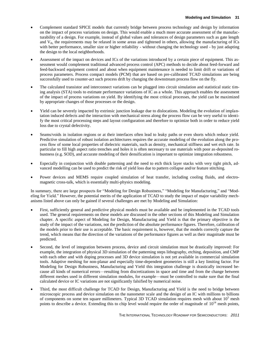- Complement standard SPICE models that currently bridge between process technology and design by information on the impact of process variations on design. This would enable a much more accurate assessment of the manufacturability of a design. For example, instead of global values and tolerances of design parameters such as gate length and  $V_{th}$ , the requirements may be relaxed in some areas and tightened in others, allowing the manufacturing of ICs with better performance, smaller size or higher reliability - without changing the technology used - by just adapting the design to the local neighborhoods.
- Assessment of the impact on devices and ICs of the variations introduced by a certain piece of equipment. This assessment would complement traditional advanced process control (APC) methods to decide about feed-forward and feed-backward equipment control and about when equipment maintenance is needed to limit drift or variations of process parameters. Process compact models (PCM) that are based on pre-calibrated TCAD simulations are being successfully used to counter-act such process drift by changing the downstream process flow on the fly.
- The calculated transistor and interconnect variations can be plugged into circuit simulation and statistical static timing analysis (STA) tools to estimate performance variations of IC as a whole. This approach enables the assessment of the impact of process variations on yield. By identifying the most critical processes, the yield can be maximized by appropriate changes of those processes or the design.
- Yield can be severely impacted by extrinsic junction leakage due to dislocations. Modeling the evolution of implantation induced defects and the interaction with mechanical stress along the process flow can be very useful to identify the most critical processing steps and layout configuration and therefore to optimize both in order to reduce yield loss due to crystal defectivity.
- Seams/voids in isolation regions or at their interfaces often lead to leaky paths or even shorts which reduce yield. Predictive simulation of robust isolation architectures requires the accurate modeling of the evolution along the process flow of some local properties of dielectric materials, such as density, mechanical stiffness and wet etch rate. In particular to fill high aspect ratio trenches and holes it is often necessary to use materials with poor as-deposited robustness (e.g. SOD), and accurate modeling of their densification is important to optimize integration robustness.
- Especially in conjunction with double patterning and the need to etch thick layer stacks with very tight pitch, advanced modelling can be used to predict the risk of yield loss due to pattern collapse and/or feature stitching.
- Power devices and MEMS require coupled simulation of heat transfer, including cooling fluids, and electromagnetic cross-talk, which is essentially multi-physics modeling.

In summary, there are large prospects for "Modeling for Design Robustness," "Modeling for Manufacturing," and "Modeling for Yield." However, the potential merits of the application of TCAD to study the impact of major variability mechanisms listed above can only be gained if several challenges are met by Modeling and Simulation:

- First, sufficiently general and predictive physical models must be available and be implemented in the TCAD tools used. The general requirements on these models are discussed in the other sections of this Modeling and Simulation chapter. A specific aspect of Modeling for Design, Manufacturing and Yield is that the primary objective is the study of the impact of the variations, not the prediction of the absolute performance figures. Therefore, calibration of the models prior to their use is acceptable. The basic requirement is, however, that the models correctly capture the trend, which means that the direction of the variations of the performance figures as well as their magnitude must be predicted.
- Second, the level of integration between process, device and circuit simulation must be drastically improved: For example, the integration of physical 3D simulation of the patterning steps lithography, etching, deposition, and CMP with each other and with doping processes and 3D device simulation is not yet available in commercial simulation tools. Adaptive meshing for non-planar and especially time-dependent geometries is still a key limiting factor. For Modeling for Design Robustness, Manufacturing and Yield this integration challenge is drastically increased because all kinds of numerical errors—resulting from discretizations in space and time and from the change between different meshes used in different simulation modules, for example—must be controlled to make sure that the final calculated device or IC variations are not significantly falsified by numerical noise.
- Third, the most difficult challenge for TCAD for Design, Manufacturing and Yield is the need to bridge between microscopic process and device simulation on the nanometer scale and the design of an IC with millions to billions of components on some ten square millimeters. Typical 3D TCAD simulation requires mesh with about  $10<sup>5</sup>$  mesh points to describe a device. Extending this to chip level would require the order of magnitude of  $10^{14}$  mesh points,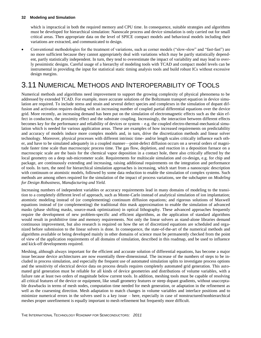which is impractical in both the required memory and CPU time. In consequence, suitable strategies and algorithms must be developed for hierarchical simulation: Nanoscale process and device simulation is only carried out for small critical areas. Then appropriate data on the level of SPICE compact models and behavioral models including their variations are extracted, and communicated to design.

 Conventional methodologies for the treatment of variations, such as corner models ("slow-slow" and "fast-fast") are no more sufficient because they cannot appropriately deal with variations which may be partly statistically dependent, partly statistically independent. In turn, they tend to overestimate the impact of variability and may lead to overly pessimistic designs. Careful usage of a hierarchy of modeling tools with TCAD and compact model levels can be instrumental in providing the input for statistical static timing analysis tools and build robust ICs without excessive design margins.

### <span id="page-35-0"></span>3.11 NUMERICAL METHODS AND INTEROPERABILITY OF TOOLS

Numerical methods and algorithms need improvement to support the growing complexity of physical phenomena to be addressed by extended TCAD. For example, more accurate solutions of the Boltzmann transport equation in device simulation are required. To include stress and strain and several defect species and complexes in the simulation of dopant diffusion and activation requires dealing with an increasing number of coupled partial differential equations over the device grid. More recently, an increasing demand has been put on the simulation of electromagnetic effects such as the skin effect in conductors, the proximity effect and the substrate coupling. Increasingly, the interaction between different effects becomes key for the performance and reliability of devices or system – e.g. the coupled electro-thermal-mechanical simulation which is needed for various application areas. These are examples of how increased requirements on predictability and accuracy of models induce more complex models and, in turn, drive the discretization methods and linear solver technology. Moreover, physical processes with different intrinsic time- and/or length scales critically influence each other, and have to be simulated adequately in a coupled manner—point-defect diffusion occurs on a several orders of magnitude faster time scale than macroscopic process time. The gas flow, depletion, and reaction in a deposition furnace on a macroscopic scale are the basis for the chemical vapor deposition in a contact hole, there also critically affected by the local geometry on a deep sub-micrometer scale. Requirements for multiscale simulation and co-design, e.g. for chip and package, are continuously extending and increasing, raising additional requirements on the integration and performance of tools. In turn, the need for hierarchical simulation approaches is increasing, which start from a nanoscopic description with continuum or atomistic models, followed by some data reduction to enable the simulation of complex systems. Such methods are among others required for the simulation of the impact of process variations, see the subchapter on *Modeling for Design Robustness, Manufacturing and Yield.* 

Increasing numbers of independent variables or accuracy requirements lead in many domains of modeling to the transition to a completely different level of approach, such as Monte-Carlo instead of analytical simulation of ion implantation; atomistic modeling instead of (or complementing) continuum diffusion equations; and rigorous solutions of Maxwell equations instead of (or complementing) the traditional thin mask approximation to enable the simulation of advanced masks (phase shifting masks, source-mask optimization) in optical lithography. These advanced approaches frequently require the development of new problem-specific and efficient algorithms, as the application of standard algorithms would result in prohibitive time and memory requirements. Not only the linear solvers as stand-alone libraries demand continuous improvement, but also research is required on how the set of discretized equations are scheduled and organized before submission to the linear solvers is done. In consequence, the state-of-the-art of the numerical methods and algorithms available or being developed mainly in other domains of science must be permanently checked from the point of view of the application requirements of all domains of simulation, described in this roadmap, and be used to influence and kick-off developments required.

Meshing, although always important for the efficient and accurate solution of differential equations, has become a major issue because device architectures are now essentially three-dimensional. The increase of the numbers of steps to be included in process simulation, and especially the frequent use of automated simulation splits to investigate process options and the sensitivity of electrical device data on process details requires completely automated grid generation. This automated grid generation must be reliable for all kinds of device geometries and distributions of volume variables, with a failure rate at least two orders of magnitude below current tools. In addition, meshing tools must be capable of resolving all critical features of the device or equipment, like small geometry features or steep dopant gradients, without unacceptable drawbacks in terms of mesh nodes, computation time needed for mesh generation, or adaptation in the refinement as well as the coarsening direction. Mesh adaptation to match changes in volume variables and interface positions and to minimize numerical errors in the solvers used is a key issue – here, especially in case of nonstructured/nonhierarchical meshes proper unrefinement is equally important to mesh refinement but frequently more difficult.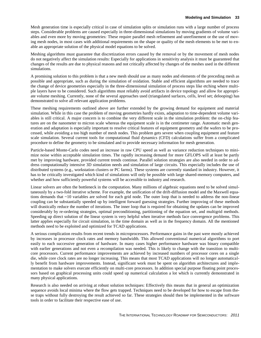Mesh generation time is especially critical in case of simulation splits or simulation runs with a large number of process steps. Considerable problems are caused especially in three-dimensional simulations by moving gradients of volume variables and even more by moving geometries: These require parallel mesh refinement and unrefinement or the use of moving mesh nodes, in most cases with additional requirements on the shape or quality of the mesh elements to be met to enable an appropriate solution of the physical model equations to be solved.

Meshing algorithms must guarantee that discretization errors caused by the removal or by the movement of mesh nodes do not negatively affect the simulation results: Especially for applications in sensitivity analysis it must be guaranteed that changes of the results are due to physical reasons and not critically affected by changes of the meshes used in the different simulations.

A promising solution to this problem is that a new mesh should use as many nodes and elements of the preceding mesh as possible and appropriate, such as during the simulation of oxidation. Stable and efficient algorithms are needed to trace the change of device geometries especially in the three-dimensional simulation of process steps like etching where multiple layers have to be considered. Such algorithms must reliably avoid artifacts in device topology and allow for appropriate volume meshing. Currently, none of the several approaches used (triangulated surfaces, cells, level set; delooping) has demonstrated to solve all relevant application problems.

These meshing requirements outlined above are further extended by the growing demand for equipment and material simulation. While in this case the problem of moving geometries hardly exists, adaptation to time-dependent volume variables is still critical. A major concern is to combine the very different scale in the simulation problem: the on-chip features are on the nanometer to micron scale whereas the equipment scale is in the centimeter range. Automatic mesh generation and adaptation is especially important to resolve critical features of equipment geometry and the wafers to be processed, while avoiding a too high number of mesh nodes. This problem gets severe when coupling equipment and feature scale simulation. Several current tools for computational fluid dynamics (CFD) calculations suffer from a complicated procedure to define the geometry to be simulated and to provide necessary information for mesh generation.

Particle-based Monte-Carlo codes need an increase in raw CPU speed as well as variance reduction techniques to minimize noise within acceptable simulation times. The rapidly increasing demand for more GFLOPS will at least be partly met by improving hardware, provided current trends continue. Parallel solution strategies are also needed in order to address computationally intensive 3D simulation needs and simulation of large circuits. This especially includes the use of distributed systems (e.g., workstation clusters or PC farms). These systems are currently standard in industry. However, it has to be critically investigated which kind of simulations will only be possible with large shared-memory computers, and whether and how sufficiently powerful systems will be accessible to industry and research.

Linear solvers are often the bottleneck in the computation. Many millions of algebraic equations need to be solved simultaneously by a two-fold iterative scheme. For example, the unification of the drift-diffusion model and the Maxwell equations demands that ~10 variables are solved for each grid node. The outer loop that is needed to address the non-linear coupling can be substantially speeded up by intelligent forward guessing strategies. Further improving of these methods will drastically reduce the number of iterations. The inner loop that is required for obtaining the updates can be improved considerably by re-ordering strategies, optimal preconditioning, partitioning of the equation set, and multigrid methods. Speeding up direct solution of the linear system is very helpful when iterative methods face convergence problems. This latter applies especially for circuit simulation, in the time domain as well as in the frequency domain. All the mentioned methods need to be exploited and optimized for TCAD applications.

A serious complication results from recent trends in microprocessors. Performance gains in the past were mostly achieved by increases in processor clock rates and memory bandwidth. This allowed conventional numerical algorithms to port easily to each successive generation of hardware. In many cases higher performance hardware was binary compatible with earlier generations and not even a recompilation was needed. This is likely to change with the transition to multicore processors. Current performance improvements are achieved by increased numbers of processor cores on a single die, while core clock rates are no longer increasing. This means that most TCAD applications will no longer automatically benefit from hardware improvements. Instead, significant work must be spent on algorithm architectures and implementation to make solvers execute efficiently on multi-core processors. In addition special purpose floating point processors based on graphical processing units could speed up numerical calculation a lot which is currently demonstrated in many physical applications.

Research is also needed on arriving at robust solution techniques: Effectively this means that in general an optimization sequence avoids local minima where the flow gets trapped. Techniques need to be developed for how to escape from these traps without fully destroying the result achieved so far. These strategies should then be implemented in the software tools in order to facilitate their respective ease of use.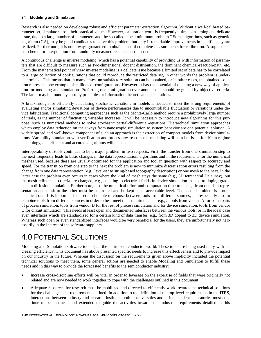Research is also needed on developing robust and efficient parameter extraction algorithm. Without a well-calibrated parameter set, simulators lose their practical values. However, calibration work is frequently a time consuming and delicate issue, due to a large number of parameters and the so-called "local minimum problem." Some algorithms, such as genetic algorithm (GA), may be good candidates to solve this problem, but only if remarkable improvements in its efficiency are realized. Furthermore, it is not always guaranteed to obtain a set of complete measurements for calibration. A sophisticated scheme for interpolation from randomly measured results is also needed.

A continuous challenge is inverse modeling, which has a potential capability of providing us with information of parameters that are difficult to measure such as two-dimensional dopant distribution, the dominant chemical-reaction-path, etc. From the mathematical point of view inverse modeling is a delicate issue because a limited set of data has to be correlated to a large collection of configurations that could reproduce the restricted data set, in other words the problem is underdetermined. This means that in many cases, no satisfactory solution can be obtained, or in other cases, the obtained solution represents one example of millions of configurations. However, it has the potential of opening a new way of application for modeling and simulation. Preferring one configuration over another one should be guided by objective criteria. The latter may be found by entropy principles or information theoretical considerations.

A breakthrough for efficiently calculating stochastic variations in models is needed to meet the strong requirements of evaluating and/or simulating deviations of device performances due to uncontrollable fluctuation or variations under device fabrication. Traditional computing approaches such as the Monte-Carlo method require a prohibitively large number of trials, as the number of fluctuating variables increases. It will be necessary to introduce new algorithms for this purpose, such as numerical methods to solve stochastic partial-differential-equations. Hierarchical simulation approaches which employ data reduction on their ways from nanoscopic simulation to system behavior are one potential solution. A widely spread and well-known component of such an approach is the extraction of compact models from device simulations. Variability simulation with verification and process aware compact modeling will be a hot issue for 10nm regime technology, and efficient and accurate algorithms will be needed.

Interoperability of tools continues to be a major problem in two respects: First, the transfer from one simulation step to the next frequently leads to basic changes in the data representation, algorithms and in the requirements for the numerical meshes used, because these are usually optimized for the application and tool in question with respect to accuracy and speed. For the transition from one step to the next the problem is now to minimize discretization errors resulting from the change from one data representation (e.g., level-set to string-based topography description) or one mesh to the next. In the latter case the problem even occurs in cases where the kind of mesh stays the same (e.g., 3D tetrahedral Delaunay), but the mesh refinement criteria are changed, e.g., adapting to electrical fields in device simulation instead to doping gradients in diffusion simulation. Furthermore, also the numerical effort and computation time to change from one data representation and mesh to the other must be controlled and be kept at an acceptable level. The second problem is a nontechnical one: It is important for users to be able to choose between tools from different sources, and especially also to combine tools from different sources in order to best meet their requirements – e.g., a tools from vendor A for some parts of process simulation, tools from vendor B for the rest of process simulation and for device simulation, tools from vendor C for circuit simulation. This needs at least open and documented interfaces between the various tools, or in the ideal case even interfaces which are standardized for a certain kind of data transfer, e.g., from 3D dopant to 3D device simulation. Whereas such open or even standardized interfaces would be very beneficial for the users, they are unfortunately not necessarily in the interest of the software suppliers.

### <span id="page-37-0"></span>4.0 POTENTIAL SOLUTIONS

Modeling and Simulation software tools span the entire semiconductor world. These tools are being used daily with increasing efficiency. This document has above presented specific needs to increase this effectiveness and to provide impact on our industry in the future. Whereas the discussion on the requirements given above implicitly included the potential technical solutions to meet them, some general actions are needed to enable Modeling and Simulation to fulfill these needs and in this way to provide the forecasted benefits to the semiconductor industry:

- Increase cross-discipline efforts will be vital in order to leverage on the expertise of fields that were originally not related and are now needed to work together to cope with the challenges outlined in this document.
- Adequate resources for research must be mobilized and directed to efficiently work towards the technical solutions for the challenges and requirements defined. In addition to the definition of the top-level requirements in the ITRS, interactions between industry and research institutes both at universities and at independent laboratories must continue to be enhanced and extended to guide the activities towards the industrial requirements detailed in this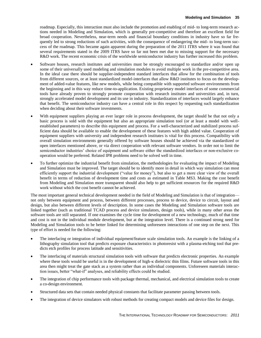roadmap. Especially, this interaction must also include the promotion and enabling of mid- to long-term research actions needed in Modeling and Simulation, which is generally pre-competitive and therefore an excellent field for broad cooperation. Nevertheless, near-term needs and financial boundary conditions in industry have so far frequently led to strong reductions of such activities, with the consequence of endangering the mid- to long-term success of the roadmap. This became again apparent during the preparation of the 2011 ITRS where it was found that several requirements stated in the 2009 ITRS have so far not been met due to missing support for the necessary R&D work. The recent economic crisis of the worldwide semiconductor industry has further increased this problem.

- Software houses, research institutes and universities must be strongly encouraged to standardize and/or open up some of their universally used modeling and simulation modules to avoid multiple work in the pre-competitive area. In the ideal case there should be supplier-independent standard interfaces that allow for the combination of tools from different sources, or at least standardized model-interfaces that allow R&D institutes to focus on the development of added-value features, like new models, while being compatible with supported software environments from the beginning and in this way reduce time-to-application. Existing proprietary model interfaces of some commercial tools have already proven to strongly promote cooperation with research institutes and universities and, in turn, strongly accelerated model development and its use in industry. Standardization of interfaces would largely enhance that benefit. The semiconductor industry can have a central role in this respect by requesting such standardization when deciding about their software investments.
- With equipment suppliers playing an ever larger role in process development, the target should be that not only a basic process is sold with the equipment but also an appropriate simulation tool (or at least a model with wellestablished parameters) to describe this equipment and process. For a well-characterized and stabilized process sufficient data should be available to enable the development of these features with high added value. Cooperation of equipment suppliers with university and independent research institutes is vital for this process. Compatibility with overall simulation environments generally offered by software houses should be achieved via the standardized or open interfaces mentioned above, or via direct cooperation with relevant software vendors. In order not to limit the semiconductor industries' choice of equipment and software either the standardized interfaces or non-exclusive cooperation would be preferred. Related IPR problems need to be solved well in time.
- To further optimize the industrial benefit from simulation, the methodologies for evaluating the impact of Modeling and Simulation must be improved. The target should be to identify more in detail in which way simulation can most efficiently support the industrial development ("value for money"), but also to get a more clear view of the overall benefit in terms of reduction of development time and costs as estimated in Table MS3. Making the cost benefit from Modeling and Simulation more transparent should also help to get sufficient resources for the required R&D work without which the cost benefit cannot be achieved.

The most important general technical development needed in the field of Modeling and Simulation is that of integration not only between equipment and process, between different processes, process to device, device to circuit, layout and design, but also between different levels of description. In some cases the Modeling and Simulation software tools are linked together (such as traditional TCAD process and device simulators, design tools), while in many other areas the software tools are still separated. If one examines the cycle time for development of a new technology, much of that time and cost is not in the individual module development, but at the integration level. There is a continued strong need for Modeling and Simulation tools to be better linked for determining unforeseen interactions of one step on the next. This type of effort is needed for the following:

- The interfacing or integration of individual equipment/feature scale simulation tools. An example is the linking of a lithography simulation tool that predicts exposure characteristics in photoresist with a plasma-etching tool that predicts etch profiles for process latitude and sensitivities.
- The interfacing of materials structural simulation tools with software that predicts electronic properties. An example where these tools would be useful is in the development of high- $\kappa$  dielectric thin films. Future software tools in this area then might treat the gate stack as a system rather than as individual components. Unforeseen materials interaction issues, better "what-if" analyses, and reliability effects could be studied.
- The integration of chip performance tools with package thermal, mechanical, and electrical simulation tools to create a co-design environment.
- Structured data sets that contain needed physical constants that facilitate parameter passing between tools.
- The integration of device simulators with robust methods for creating compact models and device files for design.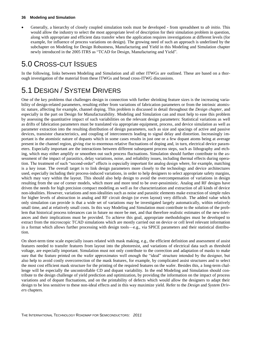Generally, a hierarchy of closely coupled simulation tools must be developed - from spreadsheet to *ab initio*. This would allow the industry to select the most appropriate level of description for their simulation problem in question, along with appropriate and efficient data transfer when the application requires investigations at different levels (for example, for influence of process variations on design). The growing need of such an approach is underlined by the subchapter on Modeling for Design Robustness, Manufacturing and Yield in this Modeling and Simulation chapter newly introduced in the 2005 ITRS as "TCAD for Design, Manufacturing and Yield".

### <span id="page-39-0"></span>5.0 CROSS-CUT ISSUES

In the following, links between Modeling and Simulation and all other ITWGs are outlined. These are based on a thorough investigation of the material from these ITWGs and broad cross-ITWG discussions.

## <span id="page-39-1"></span>5.1 DESIGN / SYSTEM DRIVERS

One of the key problems that challenges design in connection with further shrinking feature sizes is the increasing variability of design-related parameters, resulting either from variations of fabrication parameters or from the intrinsic atomistic nature, affecting for example, channel doping. This problem is discussed in detail throughout the *Design chapter*, and especially in the part on Design for Manufacturability. Modeling and Simulation can and must help to ease this problem by assessing the quantitative impact of such variabilities on the relevant design parameters: Statistical variations as well as drifts of fabrication parameters must be translated via appropriate equipment, process, and device simulation as well as parameter extraction into the resulting distribution of design parameters, such as size and spacings of active and passive devices, transistor characteristics, and coupling of interconnects leading to signal delay and distortion. Increasingly important is the atomistic nature of dopants which in some cases results in just one or a few dopant atoms being at average present in the channel region, giving rise to enormous relative fluctuations of doping and, in turn, electrical device parameters. Especially important are the interactions between different subsequent process steps, such as lithography and etching, which may either amplify or smoothen out such process fluctuations. Simulation should further contribute to the assessment of the impact of parasitics, delay variations, noise, and reliability issues, including thermal effects during operation. The treatment of such "second-order" effects is especially important for analog design where, for example, matching is a key issue. The overall target is to link design parameters more closely to the technology and device architectures used, especially including their process-induced variations, in order to help designers to select appropriate safety margins, which may vary within the layout. This should also help design to avoid the overcompensation of variations in design resulting from the use of corner models, which more and more tend to be over-pessimistic. Analog and RF designs have driven the needs for high precision compact modeling as well as for characterization and extraction of all kinds of device non-idealities. However, variations and non-idealities such as noise and parasitic elements make extraction of simple rules for higher levels of abstraction in analog and RF circuit design (or even layout) very difficult. The added value which only simulation can provide is that a wide set of variations may be investigated largely automatically, within relatively small time, and at relatively small costs. In this way Modeling and Simulation must contribute to the solution of the problem that historical process tolerances can in future no more be met, and that therefore realistic estimates of the new tolerances and their implications must be provided. To achieve this goal, appropriate methodologies must be developed to extract from the microscopic TCAD simulations which are mostly carried out on device or cell level relevant information in a format which allows further processing with design tools—e.g., via SPICE parameters and their statistical distribution.

On short-term time scale especially issues related with mask making, e.g., the efficient definition and assessment of assist features needed to transfer features from layout into the photoresist, and variations of electrical data such as threshold voltage, are especially important. Simulation must not only contribute to the correction and adaptation of masks to make sure that the feature printed on the wafer approximates well enough the "ideal" structure intended by the designer, but also help to avoid costly overcorrection of the mask features, for example, by complicated assist structures and to select the most cost efficient mask structure for the printing of the required features on the wafer. Besides this, a long-term challenge will be especially the uncontrollable CD and dopant variability. In the end Modeling and Simulation should contribute to the design challenge of yield prediction and optimization, by providing the information on the impact of process variations and of dopant fluctuations, and on the printability of defects which would allow the designers to adapt their design to be less sensitive to these non-ideal effects and in this way maximize yield. Refer to the *Design* and *System Drivers* chapters.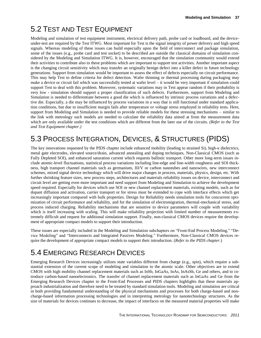## <span id="page-40-0"></span>5.2 TEST AND TEST EQUIPMENT

Modeling and simulation of test equipment instrument, electrical delivery path, probe card or loadboard, and the deviceunder-test are required by the Test ITWG. Most important for Test is the signal integrity of power delivery and high speed signals. Whereas modeling of these issues can build especially upon the field of interconnect and package simulation, some of the issues (e.g., probe card and test socket) to be described are outside the classical domains of simulation considered by the Modeling and Simulation ITWG. It is, however, encouraged that the simulation community would extend their activities to contribute also to these problems which are important to support test activities. Another important aspect is the changing circuit sensitivity which may transfer an originally benign defect into a killer defect in future technology generations. Support from simulation would be important to assess the effect of defects especially on circuit performance. This may help Test to define criteria for defect detection. Wafer thinning or thermal processing during packaging may make a device or circuit fail which was successfully tested at wafer level – it would be very important if simulation could support Test to deal with this problem. Moreover, systematic variations may in Test appear random if their probability is very low - simulation should support a proper classification of such defects. Furthermore, support from Modeling and Simulation is needed to differentiate between a good die which is influenced by intrinsic process variations and a defective die. Especially, a die may be influenced by process variations in a way that is still functional under standard application conditions, but due to insufficient margin fails after temperature or voltage stress employed in reliability tests. Here, support from Modeling and Simulation is needed to provide reliable models for these stressing mechanisms – similar to the link with metrology such models are needed to calculate the reliability data aimed at from the measurement data which are only available under the test conditions which are different from the later use of the circuits. *(Refer to the Test and Test Equipment chapter.)*

## <span id="page-40-1"></span>5.3 PROCESS INTEGRATION, DEVICES, & STRUCTURES (PIDS)

The key innovations requested by the PIDS chapter include enhanced mobility (leading to strained Si), high-κ dielectrics, metal gate electrodes, elevated source/drain, advanced annealing and doping techniques, Non-Classical CMOS (such as Fully Depleted SOI), and enhanced saturation current which requests ballistic transport. Other more long-term issues include atomic-level fluctuations, statistical process variations including line-edge and line-width roughness and SOI thickness, high transport channel materials such as germanium, III/V or carbon nanotubes and nanowires, new interconnect schemes, mixed signal device technology which will drive major changes in process, materials, physics, design, etc. With further shrinking feature sizes, new process steps, architectures and materials reliability issues on device, interconnect and circuit level are getting even more important and need support from Modeling and Simulation to achieve the development speed required. Especially for devices which use SOI or new channel replacement materials, existing models, such as for dopant diffusion and activation, carrier transport or for stress must be extended to cope with interface effects which get increasingly important compared with bulk properties. Design for Reliability needs simulation tools for concurrent optimization of circuit performance and reliability, and for the simulation of electromigration, thermal-mechanical stress, and process induced charging. Reliability mechanisms that are sensitive to device parameters will couple with variability which is itself increasing with scaling. This will make reliability projection with limited number of measurements extremely difficult and request for additional simulation support. Finally, non-classical CMOS devices require the development of appropriate compact models to support their introduction.

These issues are especially included in the Modeling and Simulation subchapters on "Front-End Process Modeling," "Device Modeling" and "Interconnects and Integrated Passives Modeling." Furthermore, Non-Classical CMOS devices require the development of appropriate compact models to support their introduction. (*Refer to the PIDS chapter.*)

## <span id="page-40-2"></span>5.4 EMERGING RESEARCH DEVICES

Emerging Research Devices increasingly utilizes state variables different from charge (e.g., spin), which require a substantial extension of the current scope of modeling and simulation to the atomic scale. Other objectives are to extend CMOS with high mobility channel replacement materials such as InSb, InGaAs, InAs, InAsSb, Ge and others, and to introduce carbon-based nanoelectronics. The transfer of channel replacement materials such as InGaAs and Ge from the Emerging Research Devices chapter to the Front-End Processes and PIDS chapters highlights that these materials approach industrialization and therefore need to be treated by standard simulation tools. Modeling and simulation are critical in both providing fundamental understanding of the physical mechanisms and processes for both charge-based and noncharge-based information processing technologies and in interpreting metrology for nanotechnology structures. As the size of materials for devices continues to decrease, the impact of interfaces on the measured material properties will make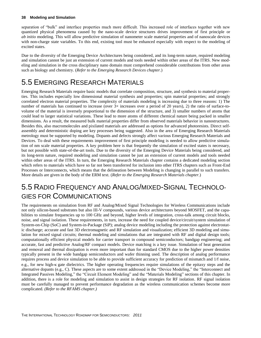separation of "bulk" and interface properties much more difficult. This increased role of interfaces together with new quantized physical phenomena caused by the nano-scale device structures drives improvement of first principle or *ab initio* modeling. This will allow predictive simulation of nanometer scale material properties and of nanoscale devices with non-charge state variables. To this end, existing tool must be enhanced especially with respect to the modeling of excited states.

Due to the diversity of the Emerging Device Architectures being considered, and its long-term nature, required modeling and simulation cannot be just an extension of current models and tools needed within other areas of the ITRS. New modeling and simulation in the cross disciplinary nano domain must comprehend considerable contributions from other areas such as biology and chemistry. (*Refer to the Emerging Research Devices chapter.*)

## <span id="page-41-0"></span>5.5 EMERGING RESEARCH MATERIALS

Emerging Research Materials require basic models that correlate composition, structure, and synthesis to material properties. This includes especially low dimensional material synthesis and properties; spin material properties; and strongly correlated electron material properties. The complexity of materials modeling is increasing due to three reasons: 1) The number of materials has continued to increase (over  $3\times$  increases over a period of 20 years), 2) the ratio of surface-tovolume of the material is inversely proportional to the dimension of the structure, and 3) smaller numbers of atoms that could lead to larger statistical variations. These lead to more atoms of different chemical nature being packed in smaller dimensions. As a result, the measured bulk material properties differ from observed materials behavior in nanostructures. Besides this, also macromolecules and pixilated materials are addressed as options for advanced photoresists. Direct selfassembly and deterministic doping are key processes being suggested. Also in the area of Emerging Research Materials metrology must be supported by modeling. Dopants and defects strongly affect various Emerging Research Materials and Devices. To deal with these requirements improvement of first principle modeling is needed to allow predictive simulation of nm scale material properties. A key problem here is that frequently the simulation of excited states is necessary, but not possible with state-of-the-art tools. Due to the diversity of the Emerging Device Materials being considered, and its long-term nature, required modeling and simulation cannot be just an extension of current models and tools needed within other areas of the ITRS. In turn, the Emerging Research Materials chapter contains a dedicated modeling section which refers to materials which have so far not been transferred for inclusion into other ITRS chapters such as Front-End Processes or Interconnects, which means that the delineation between Modeling is changing in parallel to such transfers. More details are given in the body of the ERM text. (*Refer to the Emerging Research Materials chapter.*)

### <span id="page-41-1"></span>5.5 RADIO FREQUENCY AND ANALOG/MIXED-SIGNAL TECHNOLO-GIES FOR COMMUNICATIONS

The requirements on simulation from RF and Analog/Mixed Signal Technologies for Wireless Communications include not only silicon-based substrates but also III-V compounds, various device architectures beyond MOSFET, and the capabilities to simulate frequencies up to 100 GHz and beyond, higher levels of integration, cross-talk among circuit blocks, noise, and signal isolation. These requirements, in turn, increase the need for coupled device/circuit/system simulation of System-on-Chip (SoC) and System-in-Package (SiP); analog device modeling including the protection against electrostatic discharge; accurate and fast 3D electromagnetic and RF simulation and visualization; efficient 3D modeling and simulation for mixed signal circuits; thermal modeling and simulations that are integrated with RF and digital design tools; computationally efficient physical models for carrier transport in compound semiconductors; bandgap engineering; and accurate, fast and predictive Analog/RF compact models. Device matching is a key issue. Simulation of heat generation and removal and thermal dissipation is even more important than for standard CMOS due to the higher power densities typically present in the wide bandgap semiconductors and wafer thinning used. The description of analog performance requires process and device simulation to be able to provide sufficient accuracy for prediction of mismatch and 1/f noise, e.g., for new high-k gate dielectrics. The higher operating frequencies require simulations of the epitaxy steps and the alternative dopants (e.g., C). These aspects are to some extent addressed in the "Device Modeling," the "Interconnect and Integrated Passives Modeling," the "Circuit Element Modeling" and the "Materials Modeling" sections of this chapter. In addition, there is a role for modeling and simulation to assist in design strategies for RF isolation. RF signal isolation must be carefully managed to prevent performance degradation as the wireless communication schemes become more complicated. *(Refer to the RFAMS chapter.)*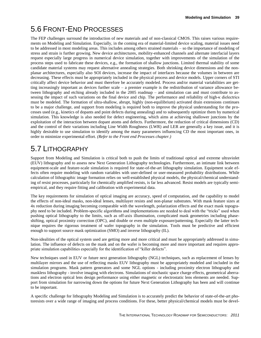## <span id="page-42-0"></span>5.6 FRONT-END PROCESSES

The FEP challenges surround the introduction of new materials and of non-classical CMOS. This raises various requirements on Modeling and Simulation. Especially, in the coming era of material-limited device scaling, material issues need to be addressed in most modeling areas. This includes among others strained materials – so the importance of modeling of stress and strain is further growing. New device architectures, mobility-enhanced channels and alternate interfacial layers request especially large progress in numerical device simulation, together with improvements of the simulation of the process steps used to fabricate these devices, e.g., the formation of shallow junctions. Limited thermal stability of some candidate material systems may request alternative annealing strategies. Both shrinking device dimensions and the nonplanar architectures, especially also SOI devices, increase the impact of interfaces because the volumes in between are decreasing. These effects must be appropriately included in the physical process and device models. Upper corners of STI critically affect device behavior and must therefore be accurately modeled. Process and/or material variabilities are getting increasingly important as devices further scale – a premier example is the redistribution of variance allowance between lithography and etching already included in the 2005 roadmap – and simulation can and must contribute to assessing the impact of such variations on the final device and chip. The performance and reliability of high-κ dielectrics must be modeled. The formation of ultra-shallow, abrupt, highly (non-equilibrium) activated drain extensions continues to be a major challenge, and support from modeling is required both to improve the physical understanding for the processes used (e.g., kinetics of dopants and point defects during annealing) and to subsequently optimize them by numerical simulation. This knowledge is also needed for defect engineering, which aims at achieving shallower junctions by the exploitation of the interaction between dopant atoms and defects. Furthermore, the reduction of critical dimensions (CD) and the control of their variations including Line Width Roughness (LWR) and LER are generally a key issue, and it is highly desirable to use simulation to identify among the many parameters influencing CD the most important ones, in order to minimize experimental effort. *(Refer to the Front end Processes chapter.)*

### <span id="page-42-1"></span>5.7 LITHOGRAPHY

Support from Modeling and Simulation is critical both to push the limits of traditional optical and extreme ultraviolet (EUV) lithography and to assess new Next Generation Lithography technologies. Furthermore, an intimate link between equipment-scale and feature-scale simulation is required for state-of-the-art lithography simulation. Equipment scale effects often require modeling with random variables with user-defined or user-measured probability distributions. While calculation of lithographic image formation relies on well-established physical models, the physical/chemical understanding of resist processes, particularly for chemically amplified resists, is far less advanced. Resist models are typically semiempirical, and they require fitting and calibration with experimental data.

The key requirements for simulation of optical imaging are accuracy, speed of computation, and the capability to model the effects of non-ideal masks, non-ideal lenses, multilayer resists and non-planar substrates. With mask feature sizes at 4x reduction during imaging becoming comparable with the wavelength, polarization effects and the exact mask topography need to be included. Problem-specific algorithms and implementations are needed to deal with the "tricks" used when pushing optical lithography to the limits, such as off-axis illumination, complicated mask geometries including phaseshifting, optical proximity correction (OPC), and double or even multiple exposure/patterning. Especially the latter technique requires the rigorous treatment of wafer topography in the simulation. Tools must be predictive and efficient enough to support source mask optimization (SMO) and inverse lithography (IL).

Non-idealities of the optical system used are getting more and more critical and must be appropriately addressed in simulation. The influence of defects on the mask and on the wafer is becoming more and more important and requires appropriate simulation capabilities especially for the identification of "killer defects".

New techniques used in EUV or future next generation lithography (NGL) techniques, such as replacement of lenses by multilayer mirrors and the use of reflecting masks EUV lithography must be appropriately modeled and included in the simulation programs. Mask pattern generators and some NGL options - including proximity electron lithography and maskless lithography - involve imaging with electrons. Simulations of stochastic space charge effects, geometrical aberrations and electron optical lens design performance using either magnetic or electrostatic lens elements are needed. Support from simulation for narrowing down the options for future Next Generation Lithography has been and will continue to be important.

A specific challenge for lithography Modeling and Simulation is to accurately predict the behavior of state-of-the-art photoresists over a wide range of imaging and process conditions. For these, better physical/chemical models must be devel-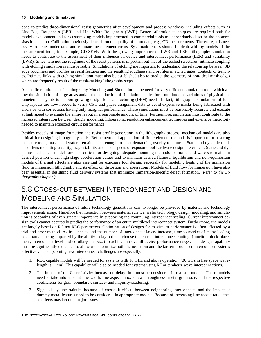oped to predict three-dimensional resist geometries after development and process windows, including effects such as Line-Edge Roughness (LER) and Line-Width Roughness (LWR). Better calibration techniques are required both for model development and for customizing models implemented in commercial tools to appropriately describe the photoresists in question. Calibration obviously depends on the quality of input data, e.g., CD measurements. Therefore, it is necessary to better understand and estimate measurement errors. Systematic errors should be dealt with by models of the measurement tools, for example, CD-SEMs. With the growing importance of LWR and LER, lithography simulation needs to contribute to the assessment of their influence on device and interconnect performance (LER) and variability (LWR). Since here not the roughness of the resist patterns is important but that of the etched structures, intimate coupling with etching simulation is indispensable. Simulations of etching are important to understand the relationship between 3D edge roughness and profiles in resist features and the resulting roughness and profiles in etched gates, contacts or trenches. Intimate links with etching simulation must also be established also to predict the geometry of non-ideal mask edges which are frequently result of the mask-making lithography steps.

A specific requirement for lithography Modeling and Simulation is the need for very efficient simulation tools which allow the simulation of large areas and/or the conduction of simulation studies for a multitude of variations of physical parameters or layouts to support growing design for manufacturing (DFM) needs. In fact, lithographic simulations of fullchip layouts are now needed to verify OPC and phase assignment data to avoid expensive masks being fabricated with errors or with corrections having only marginal performance. These simulations must be reasonably accurate and execute at high speed to evaluate the entire layout in a reasonable amount of time. Furthermore, simulation must contribute to the increased integration between design, modeling, lithographic resolution enhancement techniques and extensive metrology needed to maintain expected circuit performance.

Besides models of image formation and resist profile generation in the lithography process, mechanical models are also critical for designing lithography tools. Refinement and application of finite element methods is important for assuring exposure tools, masks and wafers remain stable enough to meet demanding overlay tolerances. Static and dynamic models of lens mounting stability, stage stability and also aspects of exposure tool hardware design are critical. Static and dynamic mechanical models are also critical for designing adequate mounting methods for masks and wafers to maintain desired position under high stage acceleration values and to maintain desired flatness. Equilibrium and non-equilibrium models of thermal effects are also essential for exposure tool design, especially for modeling heating of the immersion fluid in immersion lithography and its effect on distortion and aberrations. Models of fluid flow for immersion have also been essential in designing fluid delivery systems that minimize immersion-specific defect formation. *(Refer to the Lithography chapter.)*

### <span id="page-43-0"></span>5.8 CROSS-CUT BETWEEN INTERCONNECT AND DESIGN AND MODELING AND SIMULATION

The interconnect performance of future technology generations can no longer be provided by material and technology improvements alone. Therefore the interaction between material science, wafer technology, design, modeling, and simulation is becoming of even greater importance in supporting the continuing interconnect scaling. Current interconnect design tools cannot accurately predict the performance of an entire multilevel interconnect system. Furthermore, the models are largely based on RC not RLC parameters. Optimization of designs for maximum performance is often effected by a trial and error method. As frequencies and the number of interconnect layers increase, time to market of many leading edge parts is being impacted by the ability to lay out and choose the correct interconnect routing, (function block placement, interconnect level and corollary line size) to achieve an overall device performance target. The design capability must be significantly expanded to allow users to utilize both the near term and the far term proposed interconnect systems effectively. The upcoming new interconnect challenges are especially:

- 1. RLC capable models will be needed for systems with 10 GHz and above operation. (30 GHz in free space wavelength is ~1cm). This capability will also be needed for systems using RF or terahertz wave interconnections.
- 2. The impact of the Cu resistivity increase on delay time must be considered in realistic models. These models need to take into account line width, line aspect ratio, sidewall roughness, metal grain size, and the respective coefficients for grain boundary-, surface- and impurity-scattering.
- 3. Signal delay uncertainties because of crosstalk effects between neighboring interconnects and the impact of dummy metal features need to be considered in appropriate models. Because of increasing line aspect ratios these effects may become major issues.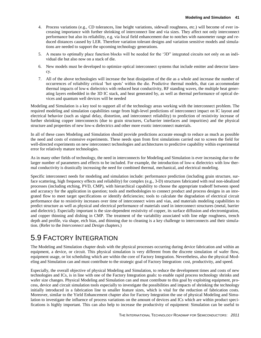- 4. Process variations (e.g., CD tolerances, line height variations, sidewall roughness, etc.) will become of ever increasing importance with further shrinking of interconnect line and via sizes. They affect not only interconnect performance but also its reliability, e.g. via local field enhancement due to notches with nanometer range and reduced distances caused by LER. Therefore variation tolerant designs and variation sensitive models and simulations are needed to support the upcoming technology generations.
- 5. A means to optimally place function blocks will be needed for the '3D" integrated circuits not only on an individual die but also now on a stack of die.
- 6. New models must be developed to optimize optical interconnect systems that include emitter and detector latency.
- 7. All of the above technologies will increase the heat dissipation of the die as a whole and increase the number of occurrences of reliability critical 'hot spots' within the die. Predictive thermal models, that can accommodate thermal impacts of low-κ dielectrics with reduced heat conductivity, RF standing waves, the multiple heat generating layers embedded in the 3D IC stack, and heat generated by, as well as thermal performance of optical devices and quantum well devices will be needed

Modeling and Simulation is a key tool to support all of the technology areas working with the interconnect problem. The required modeling and simulation capabilities range from high-level predictions of interconnect impact on IC layout and electrical behavior (such as signal delay, distortion, and interconnect reliability) to prediction of resistivity increase of further shrinking copper interconnects (due to grain structures, Cu/barrier interfaces and impurities) and the physical structure and properties of new low-κ dielectrics and other more exotic interconnect materials.

In all of these cases Modeling and Simulation should provide predictions accurate enough to reduce as much as possible the need and costs of extensive experiments. These needs span from first simulations carried out to screen the field for well-directed experiments on new interconnect technologies and architectures to predictive capability within experimental error for relatively mature technologies.

As in many other fields of technology, the need in interconnects for Modeling and Simulation is ever increasing due to the larger number of parameters and effects to be included. For example, the introduction of low-κ dielectrics with low thermal conductivity is drastically increasing the need for combined thermal, mechanical, and electrical modeling.

Specific interconnect needs for modeling and simulation include: performance prediction (including grain structure, surface scattering, high frequency effects and reliability) for complex (e.g., 3-D) structures fabricated with real non-idealized processes (including etching, PVD, CMP), with hierarchical capability to choose the appropriate tradeoff between speed and accuracy for the application in question; tools and methodologies to connect product and process designs in an integrated flow to meet target specifications or identify deficiencies; tools to calculate the degradation of electrical circuit performance due to resistivity increases over time of interconnect wires and vias, and materials modeling capabilities to predict structure as well as physical and electrical performance of materials used in interconnect structures (metal, barrier and dielectric). Especially important is the size-dependent resistivity of copper, its surface diffusion and electromigration, and copper thinning and dishing in CMP. The treatment of the variability associated with line edge roughness, trench depth and profile, via shape, etch bias, and thinning due to cleaning is a key challenge to interconnects and their simulation. (Refer to the *Interconnect* and *Design* chapters.)

### <span id="page-44-0"></span>5.9 FACTORY INTEGRATION

The Modeling and Simulation chapter deals with the physical processes occurring during device fabrication and within an equipment, a device, or circuit. This physical simulation is very different from the discrete simulation of wafer flow, equipment usage, or lot scheduling which are within the core of Factory Integration. Nevertheless, also the physical Modeling and Simulation can and must contribute to the strategic goal of Factory Integration: cost, productivity, and speed.

Especially, the overall objective of physical Modeling and Simulation, to reduce the development times and costs of new technologies and ICs, is in line with one of the Factory Integration goals: to enable rapid process technology shrinks and wafer size changes. Physical Modeling and Simulation can and must contribute to this goal by exploiting equipment, process, device and circuit simulation tools especially to investigate the possibilities and impacts of shrinking the technology initially introduced in a fabrication line to smaller feature sizes, which is vital for the reduction of fabrication costs. Moreover, similar to the Yield Enhancement chapter also for Factory Integration the use of physical Modeling and Simulation to investigate the influence of process variations on the amount of devices and ICs which are within product specifications is highly important. This can also help to increase the productivity of equipment: Simulation can be useful to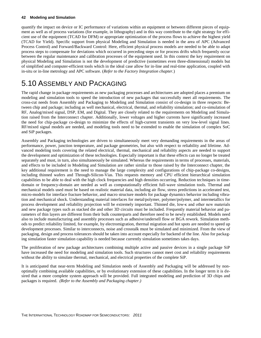quantify the impact on device or IC performance of variations within an equipment or between different pieces of equipment as well as of process variations (for example, in lithography) and in this way contribute to the right strategy for efficient use of the equipment (TCAD for DFM) or appropriate optimization of the process flows to achieve the highest yield (TCAD for Yield). Specific support from physical Modeling and Simulation is needed in the area of APC (Advanced Process Control) and Forward/Backward Control: Here, efficient physical process models are needed to be able to adapt process steps to compensate for deviations which occurred in preceding steps or for process drifts which frequently occur between the regular maintenance and calibration processes of the equipment used. In this context the key requirement on physical Modeling and Simulation is not the development of predictive (sometimes even three-dimensional) models but of simplified and computer-efficient tools which in the ideal case allow for in-line and real-time application, coupled with in-situ or in-line metrology and APC software. (*Refer to the Factory Integration chapter.*)

### <span id="page-45-0"></span>5.10 ASSEMBLY AND PACKAGING

The rapid change in package requirements as new packaging processes and architectures are adopted places a premium on modeling and simulation tools to speed the introduction of new packages that successfully meet all requirements. The cross-cut needs from Assembly and Packaging to Modeling and Simulation consist of co-design in three respects: Between chip and package; including as well mechanical, electrical, thermal, and reliability simulation; and co-simulation of RF, Analog/mixed signal, DSP, EM, and Digital. They are closely related to the requirements on Modeling and Simulation raised from the Interconnect chapter. Additionally, lower voltages and higher currents have significantly increased the need for chip-package co-design to minimize the effects of high-current transients on very low-level signal lines. RF/mixed signal models are needed, and modeling tools need to be extended to enable the simulation of complex SoC and SiP packages.

Assembly and Packaging technologies are driven to simultaneously meet very demanding requirements in the areas of performance, power, junction temperature, and package geometries, but also with respect to reliability and lifetime. Advanced modeling tools covering the related electrical, thermal, mechanical and reliability aspects are needed to support the development and optimization of these technologies. Especially important is that these effects can no longer be treated separately and must, in turn, also simultaneously be simulated. Whereas the requirements in terms of processes, materials, and effects to be included in Modeling and Simulation are rather similar to those raised by the Interconnect chapter, the key additional requirement is the need to manage the large complexity and configurations of chip-package co-designs, including thinned wafers and Through-Silicon-Vias. This requests memory and CPU efficient hierarchical simulation capabilities to be able to deal with the high clock frequencies and high densities occurring. Reduction techniques in timedomain or frequency-domain are needed as well as computationally efficient full-wave simulation tools. Thermal and mechanical models used must be based on realistic material data, including air flow, stress predictions in accelerated test, micro-models for interface fracture behavior, and macro structure models for package dynamics behavior including vibration and mechanical shock. Understanding material interfaces for metal/polymer, polymer/polymer, and intermetallics for process development and reliability projection will be extremely important. Thinned die, low-κ and other new materials and new package types such as stacked die and other 3D circuits must be included. Frequently material behavior and parameters of thin layers are different from their bulk counterparts and therefore need to be newly established. Models need also to include manufacturing and assembly processes such as adhesive/undersell flow or BGA rework. Simulation methods to predict reliability limited, for example, by electromigration, thermal migration and hot spots are needed to speed up development processes. Similar to interconnects, noise and crosstalk must be simulated and minimized. From the view of packaging, design and process tolerances should be taken into account especially for backend of the line. Also for packaging simulation faster simulation capability is needed because currently simulation sometimes takes days.

The proliferation of new package architectures combining multiple active and passive devices in a single package SiP have increased the need for modeling and simulation tools. Such structures cannot meet cost and reliability requirements without the ability to simulate thermal, mechanical, and electrical properties of the complete SiP.

It is anticipated that near-term Modeling and Simulation needs of Assembly and Packaging will be addressed by nonoptimally combining available capabilities, or by evolutionary extension of these capabilities. In the longer term it is desired that a more complete system approach will be provided. Full integrated modeling and prediction of 3D chips and packages is required. *(Refer to the Assembly and Packaging chapter.)*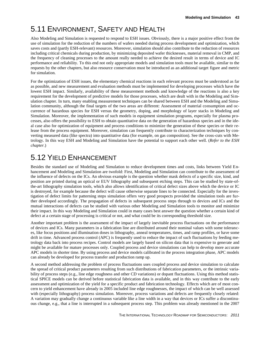## <span id="page-46-0"></span>5.11 ENVIRONMENT, SAFETY AND HEALTH

Also Modeling and Simulation is requested to respond to ESH issues. Obviously, there is a major positive effect from the use of simulation for the reduction of the numbers of wafers needed during process development and optimization, which saves costs and (partly ESH-relevant) resources. Moreover, simulation should also contribute to the reduction of resources including critical chemicals during production, by minimizing deposited wafer thicknesses, material removal in CMP, and the frequency of cleaning processes to the amount really needed to achieve the desired result in terms of device and IC performance and reliability. To this end not only appropriate models and simulation tools must be available, similar to the requests by the other chapters, but also resource conservation must be introduced as an additional target figure and metric for simulation.

For the optimization of ESH issues, the elementary chemical reactions in each relevant process must be understood as far as possible, and new measurement and evaluation methods must be implemented for developing processes which have the lowest ESH impact. Similarly, availability of these measurement methods and knowledge of the reactions is also a key requirement for the development of predictive models for those processes, which are dealt with in the Modeling and Simulation chapter. In turn, many enabling measurement techniques can be shared between ESH and the Modeling and Simulation community, although the final targets of the two areas are different: Assessment of material consumption and occurrence of hazardous species for ESH versus the geometry, doping, and morphology of layer stacks in Modeling and Simulation. Moreover, the implementation of such models in equipment simulation programs, especially for plasma processes, also offers the possibility to ESH to obtain quantitative data on the generation of hazardous species and in the ideal case also for optimization of equipment and process conditions to minimize the generation of these species or their release from the process equipment. Moreover, simulation can frequently contribute to characterization techniques by converting measured data (like spectra) into quantitative data (for example, on gas composition). See the cross-cuts with Metrology. In this way ESH and Modeling and Simulation have the potential to support each other well. (*Refer to the ESH chapter.*)

## <span id="page-46-1"></span>5.12 YIELD ENHANCEMENT

Besides the standard use of Modeling and Simulation to reduce development times and costs, links between Yield Enhancement and Modeling and Simulation are twofold: First, Modeling and Simulation can contribute to the assessment of the influence of defects on the ICs. An obvious example is the question whether mask defects of a specific size, kind, and position are printed during an optical or EUV lithography and subsequent etching steps. This can be studied by state-ofthe-art lithography simulation tools, which also allows identification of critical defect sizes above which the device or IC is destroyed, for example because the defect will cause otherwise separate lines to be connected. Especially for the investigation of defect limits for patterning steps simulation offers very good prospects provided the simulation tools are further developed accordingly. The propagation of defects in subsequent process steps through to devices and ICs and the mutual interactions of defects can be studied with various other Modeling and Simulation tools to monitor and minimize their impact. In this way Modeling and Simulation could in many cases best answer the question whether a certain kind of defect at a certain stage of processing is critical or not, and what could be its corresponding threshold size.

Another important problem is the assessment of the impact of largely inevitable process fluctuations on the performance of devices and ICs. Many parameters in a fabrication line are distributed around their nominal values with some tolerances, like focus positions and illumination doses in lithography, anneal temperatures, times, and ramp profiles, or have some drift in time. Advanced process control (APC) is frequently used to reduce the impact of such fluctuations by feeding metrology data back into process recipes. Control models are largely based on silicon data that is expensive to generate and might be available for mature processes only. Coupled process and device simulations can help to develop more accurate APC models in shorter time. By using process and device models calibrated in the process integration phase, APC models can already be developed for process transfer and production ramp up.

A second method addressing the problem of process fluctuations uses coupled process and device simulation to calculate the spread of critical product parameters resulting from such distributions of fabrication parameters, or the intrinsic variability of process steps (e.g., line edge roughness and other CD variations) or dopant fluctuations. Using this method statistical SPICE models can be derived before statistical fabrication data is available, and in this way contribute to the early assessment and optimization of the yield for a specific product and fabrication technology. Effects which are of most concern to yield enhancement have already in 2005 included line edge roughnesses, the impact of which can be well assessed with (especially lithography) process simulation. Moreover, process variations and defects are frequently closely related: A variation may gradually change a continuous variable like a line width in a way that devices or ICs suffer a discontinuous change, e.g., that a line is interrupted in a subsequent process step. This problem was already mentioned in the 2007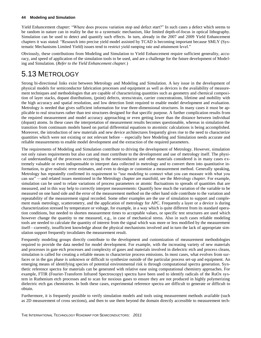Yield Enhancement chapter: "Where does process variation stop and defect start?" In such cases a defect which seems to be random in nature can in reality be due to a systematic mechanism, like limited depth-of-focus in optical lithography. Simulation can be used to detect and quantify such effects. In turn, already in the 2007 and 2009 Yield Enhancement chapters it was stated: "Research into precise yield model assisted by TCAD is becoming important because SMLY (Systematic Mechanisms Limited Yield) issues tend to restrict yield ramping rate and attainment level."

Obviously, these contributions from Modeling and Simulation to Yield Enhancement require sufficient generality, accuracy, and speed of application of the simulation tools to be used, and are a challenge for the future development of Modeling and Simulation. (*Refer to the Yield Enhancement chapter.*)

### <span id="page-47-0"></span>5.13 METROLOGY

Strong bi-directional links exist between Metrology and Modeling and Simulation. A key issue in the development of physical models for semiconductor fabrication processes and equipment as well as devices is the availability of measurement techniques and methodologies that are capable of characterizing quantities such as geometry and chemical composition of layer stacks, dopant distributions, (point) defects, stress/strain, carrier concentrations, lifetime and mobility with the high accuracy and spatial resolution, and low detection limit required to enable model development and evaluation. Metrology is needed that gives sufficient information for true three-dimensional structures. In many cases it must be applicable to real structures rather than test structures designed for that specific purpose. A further complication results from the required measurement and model accuracy approaching or even getting lower than the distance between individual (dopant) atoms. In these cases the interpretation of measurement results becomes questionable, whereas in simulation the transition from continuum models based on partial differential equations to atomistic calculations is being accomplished. Moreover, the introduction of new materials and new device architectures frequently gives rise to the need to characterize quantities which were not existing or not relevant before – especially here Modeling and Simulation needs accurate and reliable measurements to enable model development and the extraction of the required parameters.

The requirements of Modeling and Simulation contribute to driving the development of Metrology. However, simulation not only raises requirements but also can and must contribute to the development and use of metrology itself. The physical understanding of the processes occurring in the semiconductor and other materials considered is in many cases extremely valuable or even indispensable to interpret data collected in metrology and to convert them into quantitative information, to give realistic error estimates, and even to design or customize a measurement method. Generally speaking, Metrology has repeatedly confirmed its requirement to "use modeling to connect what you can measure with what you can see" —and related issues mentioned in the Metrology chapter are manifold, see the *Metrology chapter*. For example, simulation can be used to relate variations of process parameters or atomic fluctuations to spreads of quantities that are measured, and in this way help to correctly interpret measurements: Quantify how much the variation of the variable to be measured on one hand side and the error of the measurement method on the other hand side contribute to the variation and repeatability of the measurement signal recorded. Some other examples are the use of simulation to support and complement mask metrology, scatterometry, and the application of metrology for APC. Frequently a layer or a device is during characterization stressed by temperature or voltage, for example, in a way which is quite different from its standard operation conditions, but needed to shorten measurement times to acceptable values, or specific test structures are used which however change the quantity to me measured, e.g., in case of mechanical stress. Also in such cases reliable modeling tools are needed to calculate the quantity of interest from the signal which was more or less modified by the measurement itself—currently, insufficient knowledge about the physical mechanisms involved and in turn the lack of appropriate simulation support frequently invalidates the measurement result.

Frequently modeling groups directly contribute to the development and customization of measurement methodologies required to provide the data needed for model development. For example, with the increasing variety of new materials and processes in gate etch processes and complexity of gases and materials involved in dielectric etch and process cleans, simulation is called for creating a reliable means to characterize process emissions. In most cases, what evolves from surfaces or in the gas phase is unknown or difficult to synthesize outside of the particular process set-up and equipment. An emerging means of identifying species of potential environmental risk is through computational spectra generation. Synthetic reference spectra for materials can be generated with relative ease using computational chemistry approaches. For example, FTIR (Fourier-Transform Infrared Spectroscopy) spectra have been used to identify radicals of the RuOx system in Ruthenium etch processes and to scan for noxious gases to ensure they are not produced in highly polymerizing dielectric etch gas chemistries. In both these cases, experimental reference spectra are difficult to generate or difficult to obtain.

Furthermore, it is frequently possible to verify simulation models and tools using measurement methods available (such as 2D measurement of cross sections), and then to use them beyond the domain directly accessible to measurement tech-